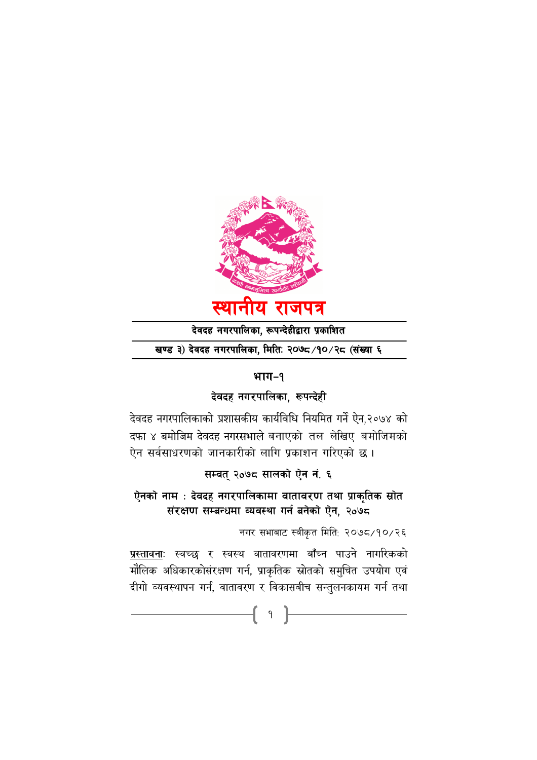

देवदह नगरपालिका, रूपन्देहीद्वारा प्रकाशित

खण्ड ३) देवदह नगरपालिका, मितिः २०७८/१०/२८ (संख्या ६

# भाग-१

# देवदह नगरपालिका, रूपन्देही

देवदह नगरपालिकाको प्रशासकीय कार्यविधि नियमित गर्ने ऐन,२०७४ को दफा ४ बमोजिम देवदह नगरसभाले बनाएको तल लेखिए बमोजिमको ऐन सर्वसाधरणको जानकारीको लागि प्रकाशन गरिएको छ।

सम्वत् २०७८ सालको ऐन नं. ६

ऐनको नाम : देवदह नगरपालिकामा वातावरण तथा प्राकृतिक स्रोत संरक्षण सम्बन्धमा व्यवस्था गर्न बनेको ऐन, २०७८

नगर सभाबाट स्वीकृत मिति: २०७८/१०/२६

<u>प्रस्तावनाः</u> स्वच्छ र स्वस्थ वातावरणमा बाँच्न पाउने नागरिकको मौलिक अधिकारकोसंरक्षण गर्न, प्राकृतिक स्रोतको समुचित उपयोग एवं दीगो व्यवस्थापन गर्न, वातावरण र विकासबीच सन्तुलनकायम गर्न तथा

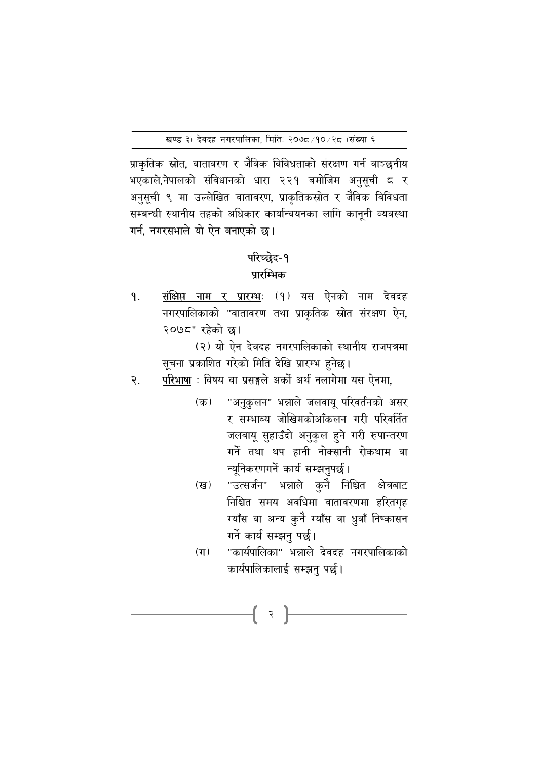प्राकृतिक स्रोत, वातावरण र जैविक विविधताको संरक्षण गर्न वाञ्छनीय भएकाले,नेपालको संविधानको धारा २२१ बमोजिम अनुसूची ८ र अनुसूची ९ मा उल्लेखित वातावरण, प्राकृतिकस्रोत र जैविक विविधता सम्बन्धी स्थानीय तहको अधिकार कार्यान्वयनका लागि काननी व्यवस्था गर्न, नगरसभाले यो ऐन बनाएको छ।

# परिच्छेद-१

# प्रारम्भिक

संक्षिप्त नाम र प्रारम्भः (१) यस ऐनको नाम देवदह ۹. नगरपालिकाको "वातावरण तथा प्राकृतिक स्रोत संरक्षण ऐन, २०७८" रहेको छ।

> (२) यो ऐन देवदह नगरपालिकाको स्थानीय राजपत्रमा सूचना प्रकाशित गरेको मिति देखि प्रारम्भ हुनेछ।

- परिभाषा : विषय वा प्रसङ्गले अर्को अर्थ नलागेमा यस ऐनमा. २.
	- "अनुकुलन" भन्नाले जलवायु परिवर्तनको असर  $(\overline{a})$ र सम्भाव्य जोखिमकोआँकलन गरी परिवर्तित जलवायू सुहाउँदो अनुकुल हुने गरी रुपान्तरण गर्ने तथा थप हानी नोक्सानी रोकथाम वा न्यूनिकरणगर्ने कार्य सम्झनुपर्छ।
	- "उत्सर्जन" भन्नाले कुने निश्चित क्षेत्रबाट (ख) निश्चित समय अवधिमा वातावरणमा हरितगृह ग्याँस वा अन्य कुनै ग्याँस वा धुवाँ निष्कासन गर्ने कार्य सम्झन पर्छ।
	- $(\pi)$ "कार्यपालिका" भन्नाले देवदह नगरपालिकाको कार्यपालिकालाई सम्झनु पर्छ।

२  $\vert$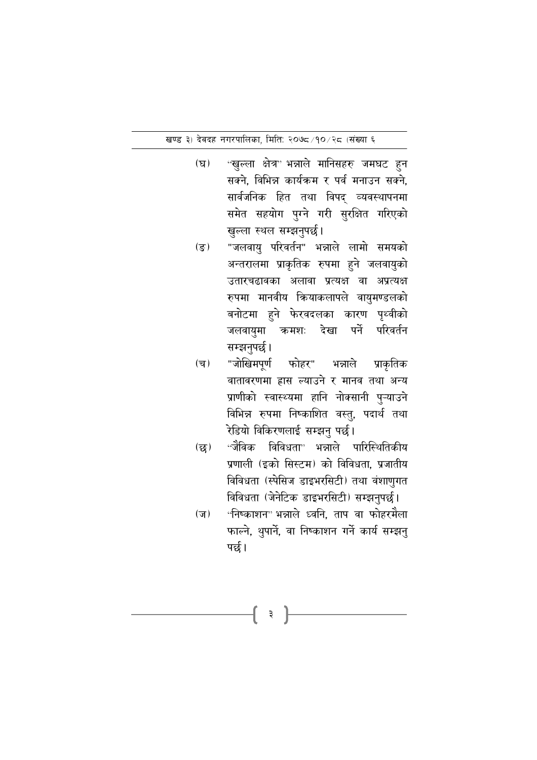- $(\nabla)$ ''खुल्ला क्षेत्र' भन्नाले मानिसहरु जमघट हुन सक्ने. विभिन्न कार्यक्रम र पर्व मनाउन सक्ने. सार्वजनिक हित तथा विपद् व्यवस्थापनमा समेत सहयोग पुग्ने गरी सुरक्षित गरिएको खुल्ला स्थल सम्झनुपर्छ।
- "जलवायु परिवर्तन" भन्नाले लामो समयको  $(\overline{s})$ अन्तरालमा प्राकृतिक रुपमा हुने जलवायुको उतारचढावका अलावा प्रत्यक्ष वा अप्रत्यक्ष रुपमा मानवीय क्रियाकलापले वायुमण्डलको बनोटमा हुने फेरवदलका कारण पृथ्वीको जलवायुमा क्रमशः देखा पर्ने परिवर्तन सम्झनुपर्छ।
- "जोखिमपूर्ण फोहर" भन्नाले  $(\overline{\mathbf{q}})$ प्राकृतिक वातावरणमा ह्रास ल्याउने र मानव तथा अन्य प्राणीको स्वास्थ्यमा हानि नोक्सानी पुऱ्याउने विभिन्न रुपमा निष्काशित वस्तु, पदार्थ तथा रेडियो विकिरणलाई सम्झनु पर्छ।
- ''जैविक विविधता" भन्नाले पारिस्थितिकीय  $(\overline{\mathbf{g}})$ प्रणाली (इको सिस्टम) को विविधता. प्रजातीय विविधता (स्पेसिज डाइभरसिटी) तथा वंशाणुगत विविधता (जेनेटिक डाइभरसिटी) सम्झनुपर्छ।
- "निष्काशन" भन्नाले ध्वनि, ताप वा फोहरमैला  $(\overline{v})$ फाल्ने, थुपार्ने, वा निष्काशन गर्ने कार्य सम्झनु पर्छ।

३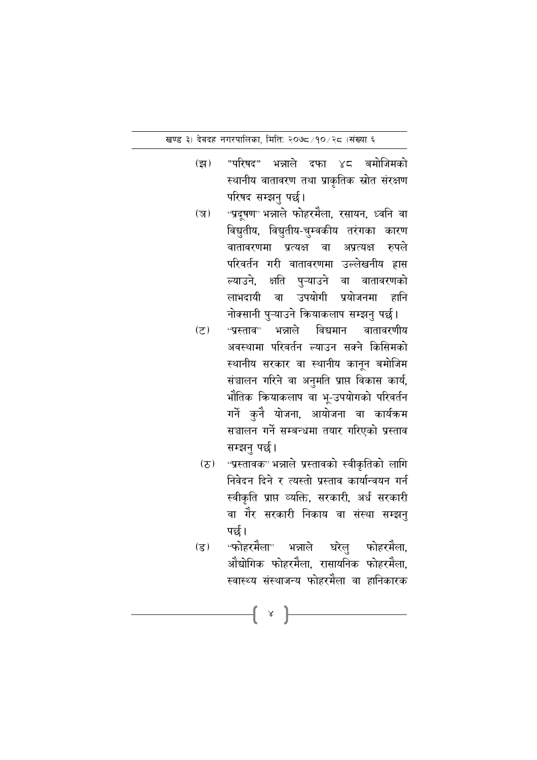- $(3)$ "परिषद" भन्नाले दफा ४८ बमोजिमको स्थानीय वातावरण तथा प्राकृतिक स्रोत संरक्षण परिषद सम्झनु पर्छ।
- ''प्रदूषण' भन्नाले फोहरमैला, रसायन, ध्वनि वा  $(\overline{3})$ विद्युतीय, विद्युतीय-चुम्वकीय तरंगका कारण वातावरणमा प्रत्यक्ष वा अप्रत्यक्ष रुपले परिवर्तन गरी वातावरणमा उल्लेखनीय हास ल्याउने, क्षति पुऱ्याउने वा वातावरणको लाभदायी वा उपयोगी प्रयोजनमा हानि नोक्सानी पुऱ्याउने कियाकलाप सम्झनु पर्छ।
- ''प्रस्ताव'' भन्नाले विद्यमान  $(5)$ वातावरणीय अवस्थामा परिवर्तन ल्याउन सक्ने किसिमको स्थानीय सरकार वा स्थानीय कानून बमोजिम संञ्चालन गरिने वा अनुमति प्राप्त विकास कार्य, भौतिक कियाकलाप वा भू-उपयोगको परिवर्तन गर्ने कुनै योजना, आयोजना वा कार्यक्रम सञ्चालन गर्ने सम्बन्धमा तयार गरिएको प्रस्ताव सम्झनु पर्छ।
- ''प्रस्तावक'' भन्नाले प्रस्तावको स्वीकृतिको लागि  $(2)$ निवेदन दिने र त्यस्तो प्रस्ताव कार्यान्वयन गर्न स्वीकृति प्राप्त व्यक्ति, सरकारी, अर्ध सरकारी वा गैर सरकारी निकाय वा संस्था सम्झनु पर्छ।
- ''फोहरमैला'<sup>,</sup> भन्नाले घरेलु फोहरमैला,  $($ ड) ओद्योगिक फोहरमैला. रासायनिक फोहरमैला. स्वास्थ्य संस्थाजन्य फोहरमैला वा हानिकारक

 $\{ \ \ \times \ \}$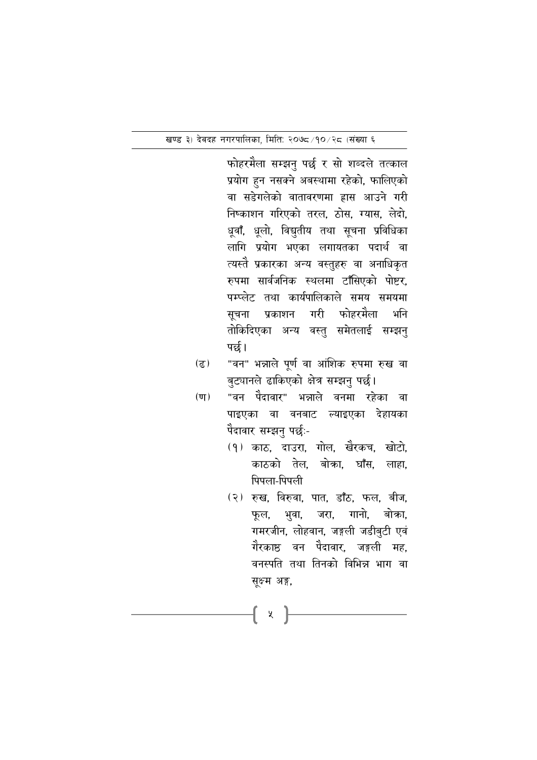फोहरमैला सम्झनु पर्छ र सो शब्दले तत्काल प्रयोग हुन नसक्ने अबस्थामा रहेको, फालिएको वा सडेगलेको वातावरणमा ह्रास आउने गरी निष्काशन गरिएको तरल, ठोस, ग्यास, लेदो, धूवाँ, धूलो, विद्युतीय तथा सूचना प्रविधिका लागि प्रयोग भएका लगायतका पदार्थ वा त्यस्तै प्रकारका अन्य वस्तुहरु वा अनाधिकृत रुपमा सार्वजनिक स्थलमा टाँसिएको पोष्टर, पम्प्लेट तथा कार्यपालिकाले समय समयमा प्रकाशन गरी फोहरमैला भनि सुचना तोकिदिएका अन्य वस्तु समेतलाई सम्झनु पर्छ।

- "वन" भन्नाले पूर्ण वा आंशिक रुपमा रुख वा  $(5)$ बुट्यानले ढाकिएको क्षेत्र सम्झनु पर्छ।
- $(\overline{\mathbf{u}})$ "वन पैदावार" भन्नाले वनमा रहेका वा पाइएका वा वनबाट ल्याइएका देहायका पैदावार सम्झनु पर्छः-
	- (१) काठ, दाउरा, गोल, खैरकच, खोटो, काठको तेल. बोका. घाँस. लाहा. पिपला-पिपली
	- (२) रुख, विरुवा, पात, डाँठ, फल, बीज, भुवा, जरा, गानो, बोका, फूल, गमरजीन, लोहवान, जङ्गली जडीबुटी एवं गेरकाष्ठ वन पेदावार, जङ्गली मह, वनस्पति तथा तिनको विभिन्न भाग वा सूक्ष्म अङ्ग,

{ x }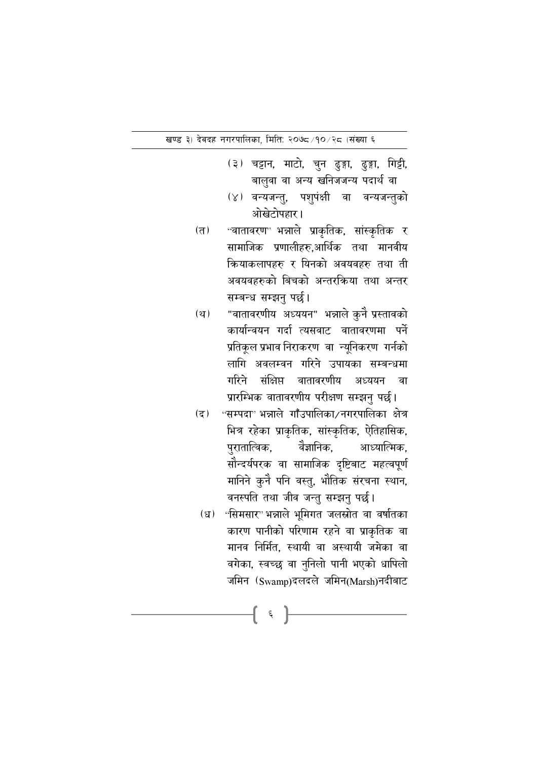- (३) चट्टान, माटो, चुन ढुङ्गा, ढुङ्गा, गिट्टी, बालुवा वा अन्य खनिजजन्य पदार्थ वा
- (४) वन्यजन्तु, पशुपंक्षी वा वन्यजन्तुको ओखेटोपहार।
- ''वातावरण' भन्नाले प्राकृतिक, सांस्कृतिक र  $(T)$ सामाजिक प्रणालीहरु,आर्थिक तथा मानवीय कियाकलापहरु र यिनको अवयवहरु तथा ती अवयवहरुको बिचको अन्तरकिया तथा अन्तर सम्बन्ध सम्झनु पर्छ।
- "वातावरणीय अध्ययन" भन्नाले कुनै प्रस्तावको  $(\mathfrak{P})$ कार्यान्वयन गर्दा त्यसवाट वातावरणमा पर्ने प्रतिकूल प्रभाव निराकरण वा न्यूनिकरण गर्नको लागि अवलम्वन गरिने उपायका सम्बन्धमा गरिने संक्षिप्त वातावरणीय अध्ययन वा प्रारम्भिक वातावरणीय परीक्षण सम्झनु पर्छ।
- $(5)$ "सम्पदा" भन्नाले गाँउपालिका/नगरपालिका क्षेत्र भित्र रहेका प्राकृतिक, सांस्कृतिक, ऐतिहासिक, वैज्ञानिक. पुरातात्विक. आध्यात्मिक. सौन्दर्यपरक वा सामाजिक दृष्टिबाट महत्वपूर्ण मानिने कुनै पनि वस्तु, भौतिक संरचना स्थान, वनस्पति तथा जीव जन्तु सम्झनु पर्छ।
- ''सिमसार'' भन्नाले भूमिगत जलस्रोत वा वर्षातका  $(\mathfrak{g})$ कारण पानीको परिणाम रहने वा प्राकृतिक वा मानव निर्मित. स्थायी वा अस्थायी जमेका वा वगेका, स्वच्छ वा नुनिलो पानी भएको धापिलो जमिन (Swamp)दलदले जमिन(Marsh)नदीबाट

 $\xi$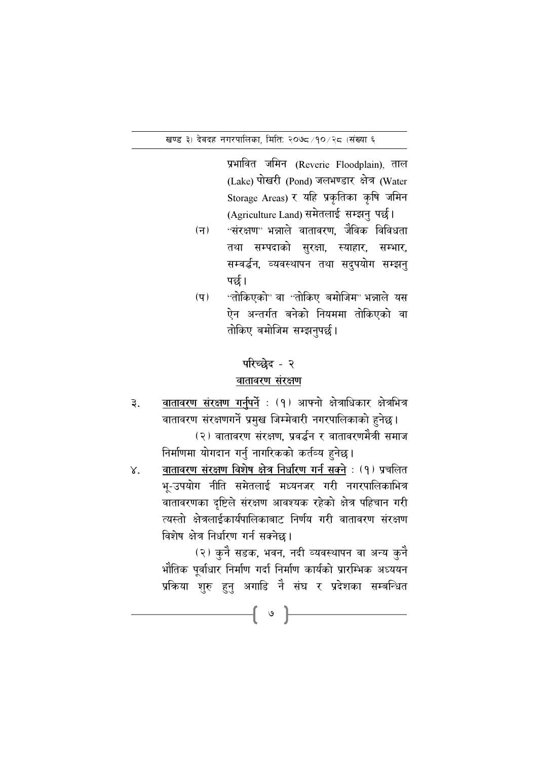प्रभावित जमिन (Reverie Floodplain), ताल (Lake) पोखरी (Pond) जलभण्डार क्षेत्र (Water Storage Areas) र यहि प्रकृतिका कृषि जमिन (Agriculture Land) समेतलाई सम्झनु पर्छ।

- ''संरक्षण'' भन्नाले वातावरण, जैविक विविधता  $($ न $)$ तथा सम्पदाको सुरक्षा, स्याहार, सम्भार, सम्वर्द्धन, व्यवस्थापन तथा सदुपयोग सम्झनु पर्छ ।
- "तोकिएको" वा "तोकिए बमोजिम" भन्नाले यस  $(\nabla)$ ऐन अन्तर्गत बनेको नियममा तोकिएको वा तोकिए बमोजिम सम्झनुपर्छ।

#### परिच्छेद - २

#### वातावरण संरक्षण

वातावरण संरक्षण गर्नुपर्ने : (१) आफ्नो क्षेत्राधिकार क्षेत्रभित्र ₹. वातावरण संरक्षणगर्ने प्रमुख जिम्मेवारी नगरपालिकाको हुनेछ। (२) वातावरण संरक्षण, प्रवर्द्धन र वातावरणमैत्री समाज

निर्माणमा योगदान गर्नु नागरिकको कर्तव्य हुनेछ।

वातावरण संरक्षण विशेष क्षेत्र निर्धारण गर्न सक्ने : (१) प्रचलित  $X_{\cdot}$ भू-उपयोग नीति समेतलाई मध्यनजर गरी नगरपालिकाभित्र वातावरणका दृष्टिले संरक्षण आवश्यक रहेको क्षेत्र पहिचान गरी त्यस्तो क्षेत्रलाईकार्यपालिकाबाट निर्णय गरी वातावरण संरक्षण विशेष क्षेत्र निर्धारण गर्न सक्नेछ।

{ ∘ }

(२) कुनै सडक, भवन, नदी व्यवस्थापन वा अन्य कुनै भौतिक पूर्वाधार निर्माण गर्दा निर्माण कार्यको प्रारम्भिक अध्ययन प्रकिया शुरु हुनु अगाडि नै संघ र प्रदेशका सम्बन्धित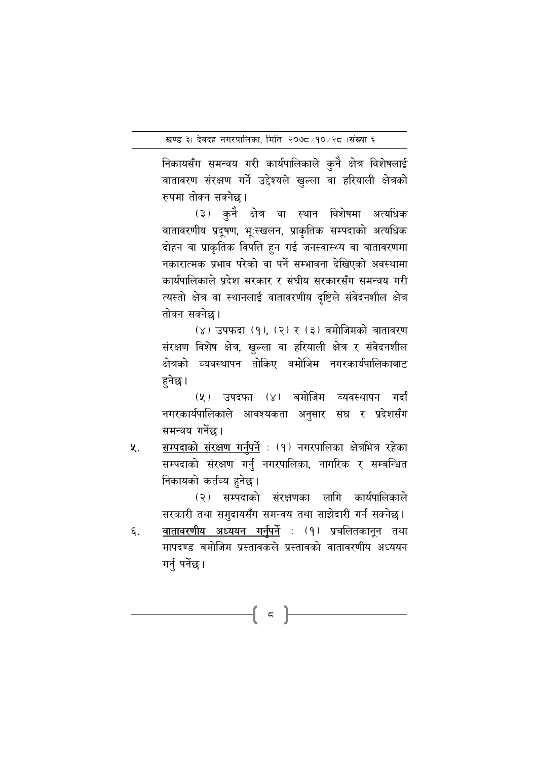निकायसँग समन्वय गरी कार्यपालिकाले कुनै क्षेत्र विशेषलाई वातावरण संरक्षण गर्ने उद्देश्यले खुल्ला वा हरियाली क्षेत्रको रुपमा तोक्न सक्नेछ।

(३) कनै क्षेत्र वा स्थान विशेषमा अत्यधिक वातावरणीय प्रदूषण, भूःस्खलन, प्राकृतिक सम्पदाको अत्यधिक दोहन वा प्राकृतिक विपत्ति हुन गई जनस्वास्थ्य वा वातावरणमा नकारात्मक प्रभाव परेको वा पर्ने सम्भावना देखिएको अवस्थामा कार्यपालिकाले प्रदेश सरकार र संघीय सरकारसँग समन्वय गरी त्यस्तो क्षेत्र वा स्थानलाई वातावरणीय दृष्टिले संवेदनशील क्षेत्र तोक्न सक्नेछ।

(४) उपफदा (१) (२) र (३) बमोजिमको वातावरण संरक्षण विशेष क्षेत्र, खुल्ला वा हरियाली क्षेत्र र संवेदनशील क्षेत्रको व्यवस्थापन तोकिए बमोजिम नगरकार्यपालिकाबाट हनेछ।

(५) उपदफा (४) बमोजिम व्यवस्थापन गर्दा नगरकार्यपालिकाले आवश्यकता अनुसार संघ र प्रदेशसँग समन्वय गर्नेछ।

सम्पदाको संरक्षण गर्नुपर्ने : (१) नगरपालिका क्षेत्रभित्र रहेका ५. सम्पदाको संरक्षण गर्नु नगरपालिका, नागरिक र सम्बन्धित निकायको कर्तव्य हुनेछ।

> (२) सम्पदाको संरक्षणका लागि कार्यपालिकाले सरकारी तथा समुदायसँग समन्वय तथा साझेदारी गर्न सक्नेछ।

<u>वातावरणीय अध्ययन गर्नुपर्ने</u> : (१) प्रचलितकानून तथा ξ. मापदण्ड बमोजिम प्रस्तावकले प्रस्तावको वातावरणीय अध्ययन गर्नु पर्नेछ।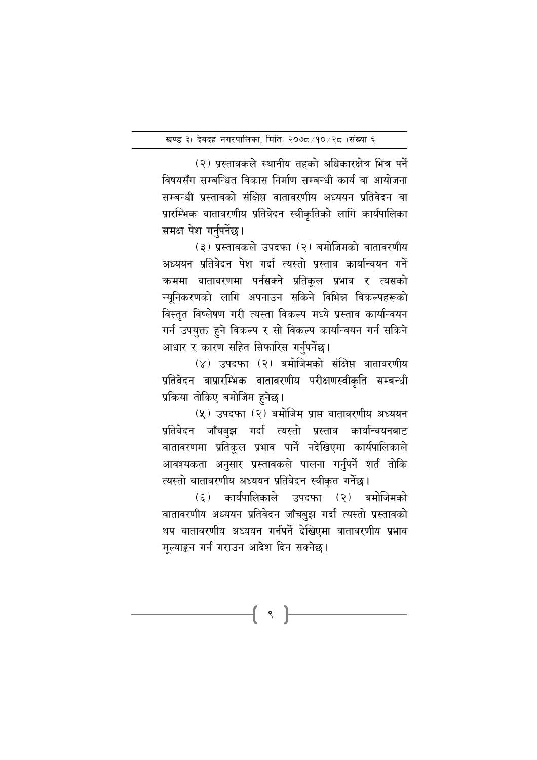(२) प्रस्तावकले स्थानीय तहको अधिकारक्षेत्र भित्र पर्ने विषयसँग सम्बन्धित विकास निर्माण सम्बन्धी कार्य वा आयोजना सम्बन्धी प्रस्तावको संक्षिप्त वातावरणीय अध्ययन प्रतिवेदन वा प्रारम्भिक वातावरणीय प्रतिवेदन स्वीकृतिको लागि कार्यपालिका समक्ष पेश गर्नुपर्नेछ।

(३) प्रस्तावकले उपदफा (२) बमोजिमको वातावरणीय अध्ययन प्रतिवेदन पेश गर्दा त्यस्तो प्रस्ताव कार्यान्वयन गर्ने कममा वातावरणमा पर्नसक्ने प्रतिकुल प्रभाव र त्यसको न्यूनिकरणको लागि अपनाउन सकिने विभिन्न विकल्पहरूको विस्तृत विष्लेषण गरी त्यस्ता विकल्प मध्ये प्रस्ताव कार्यान्वयन गर्न उपयुक्त हुने विकल्प र सो विकल्प कार्यान्वयन गर्न सकिने आधार र कारण सहित सिफारिस गर्नुपर्नेछ।

(४) उपदफा (२) बमोजिमको संक्षिप्त वातावरणीय प्रतिवेदन वाप्रारम्भिक वातावरणीय परीक्षणस्वीकृति सम्बन्धी प्रक्रिया तोकिए बमोजिम हुनेछ।

(५) उपदफा (२) बमोजिम प्राप्त वातावरणीय अध्ययन प्रतिवेदन जाँचबुझ गर्दा त्यस्तो प्रस्ताव कार्यान्वयनबाट वातावरणमा प्रतिकृल प्रभाव पार्ने नदेखिएमा कार्यपालिकाले आवश्यकता अनुसार प्रस्तावकले पालना गर्नुपर्ने शर्त तोकि त्यस्तो वातावरणीय अध्ययन प्रतिवेदन स्वीकृत गर्नेछ।

(६) कार्यपालिकाले उपदफा (२) बमोजिमको वातावरणीय अध्ययन प्रतिवेदन जाँचबुझ गर्दा त्यस्तो प्रस्तावको थप वातावरणीय अध्ययन गर्नपर्ने देखिएमा वातावरणीय प्रभाव मुल्याङ्कन गर्न गराउन आदेश दिन सक्नेछ।

 $\{ \;\; \cdot \;\; \}$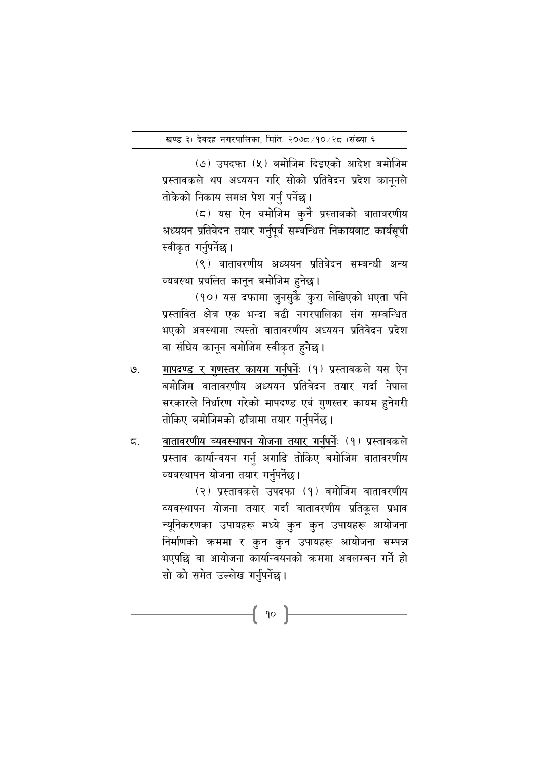(७) उपदफा (५) बमोजिम दिइएको आदेश बमोजिम प्रस्तावकले थप अध्ययन गरि सोको प्रतिवेदन प्रदेश कानूनले तोकेको निकाय समक्ष पेश गर्नु पर्नेछ।

(८) यस ऐन वमोजिम कुनै प्रस्तावको वातावरणीय अध्ययन प्रतिवेदन तयार गर्नुपूर्व सम्वन्धित निकायबाट कार्यसूची स्वीकृत गर्नुपर्नेछ।

(९) वातावरणीय अध्ययन प्रतिवेदन सम्बन्धी अन्य व्यवस्था प्रचलित कानुन बमोजिम हनेछ।

(१०) यस दफामा जुनसुके कुरा लेखिएको भएता पनि प्रस्तावित क्षेत्र एक भन्दा बढी नगरपालिका संग सम्बन्धित भएको अबस्थामा त्यस्तो वातावरणीय अध्ययन प्रतिवेदन प्रदेश वा संघिय कानून बमोजिम स्वीकृत हुनेछ।

- मापदण्ड र गुणस्तर कायम गर्नुपर्नेः (१) प्रस्तावकले यस ऐन  $\mathcal{G}_{\cdot}$ बमोजिम वातावरणीय अध्ययन प्रतिवेदन तयार गर्दा नेपाल सरकारले निर्धारण गरेको मापदण्ड एवं गुणस्तर कायम हुनेगरी तोकिए बमोजिमको ढाँचामा तयार गर्नुपर्नेछ।
- वातावरणीय व्यवस्थापन योजना तयार गर्नुपर्नेः (१) प्रस्तावकले ζ. प्रस्ताव कार्यान्वयन गर्नु अगाडि तोकिए बमोजिम वातावरणीय व्यवस्थापन योजना तयार गर्नुपर्नेछ।

(२) प्रस्तावकले उपदफा (१) बमोजिम वातावरणीय व्यवस्थापन योजना तयार गर्दा वातावरणीय प्रतिकल प्रभाव न्यूनिकरणका उपायहरू मध्ये कुन कुन उपायहरू आयोजना निर्माणको कममा र कुन कुन उपायहरू आयोजना सम्पन्न भएपछि वा आयोजना कार्यान्वयनको क्रममा अवलम्बन गर्ने हो सो को समेत उल्लेख गर्नुपर्नेछ।

{ 90 }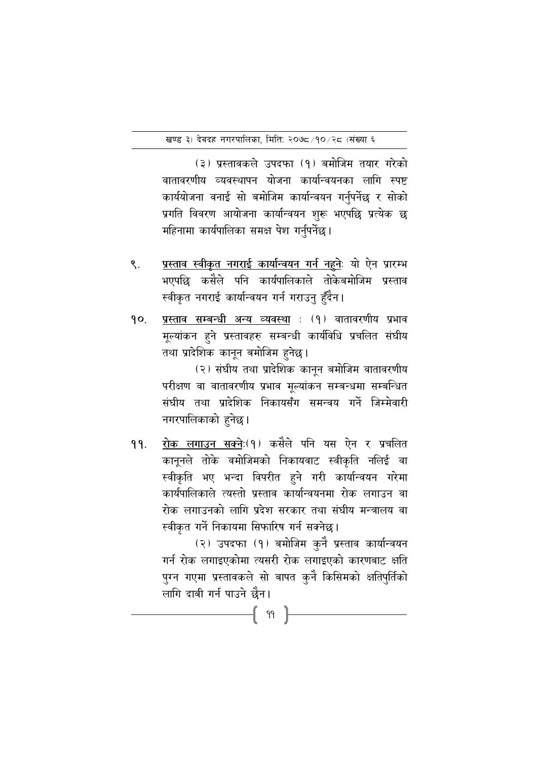(३) प्रस्तावकले उपदफा (१) बमोजिम तयार गरेको वातावरणीय व्यवस्थापन योजना कार्यान्वयनका लागि स्पष्ट कार्ययोजना वनाई सो बमोजिम कार्यान्वयन गर्नुपर्नेछ र सोको प्रगति विवरण आयोजना कार्यान्वयन शुरू भएपछि प्रत्येक छ महिनामा कार्यपालिका समक्ष पेश गर्नुपर्नेछ।

- प्रस्ताव स्वीकृत नगराई कार्यान्वयन गर्न नहनेः यो ऐन प्रारम्भ  $\mathsf{R}$ . भएपछि कसैले पनि कार्यपालिकाले तोकेबमोजिम प्रस्ताव स्वीकृत नगराई कार्यान्वयन गर्न गराउनु हुँदैन।
- प्रस्ताव सम्बन्धी अन्य व्यवस्था : (१) वातावरणीय प्रभाव  $90.$ मूल्यांकन हुने प्रस्तावहरु सम्बन्धी कार्यविधि प्रचलित संघीय तथा प्रादेशिक कानून बमोजिम हुनेछ।

(२) संघीय तथा प्रादेशिक कानून बमोजिम वातावरणीय परीक्षण वा वातावरणीय प्रभाव मुल्यांकन सम्बन्धमा सम्बन्धित संघीय तथा प्रादेशिक निकायसँग समन्वय गर्ने जिम्मेवारी नगरपालिकाको हनेछ।

रोक लगाउन सक्नेः(१) कसैले पनि यस ऐन र प्रचलित 99. कानुनले तोके वमोजिमको निकायवाट स्वीकृति नलिई वा स्वीकृति भए भन्दा विपरीत हुने गरी कार्यान्वयन गरेमा कार्यपालिकाले त्यस्तो प्रस्ताव कार्यान्वयनमा रोक लगाउन वा रोक लगाउनको लागि प्रदेश सरकार तथा संघीय मन्त्रालय वा स्वीकृत गर्ने निकायमा सिफारिष गर्न सक्नेछ।

> (२) उपदफा (१) बमोजिम कुनै प्रस्ताव कार्यान्वयन गर्न रोक लगाइएकोमा त्यसरी रोक लगाइएको कारणबाट क्षति पुग्न गएमा प्रस्तावकले सो बापत कुनै किसिमको क्षतिपुर्तिको लागि दाबी गर्न पाउने छैन।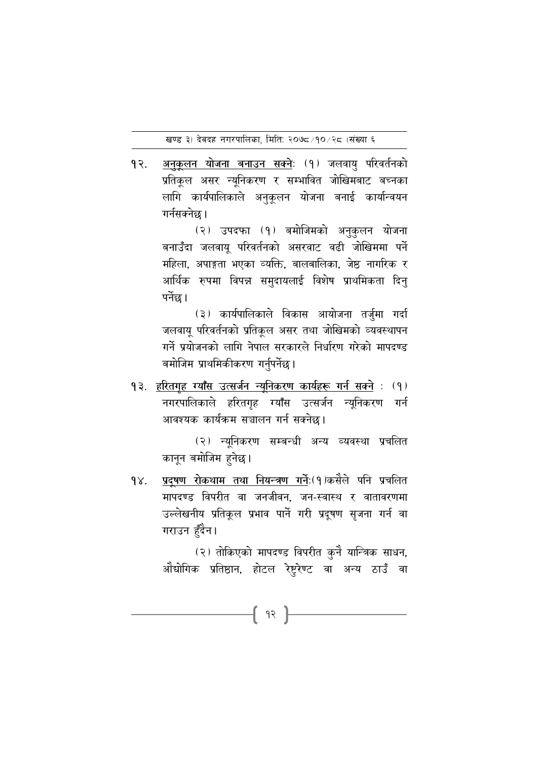$92.$ <u>अनुकूलन योजना बनाउन सक्ने</u>ः (१) जलवायु परिवर्तनको प्रतिकूल असर न्यूनिकरण र सम्भावित जोखिमबाट बच्नका लागि कार्यपालिकाले अनुकूलन योजना बनाई कार्यान्वयन गर्नसक्नेछ।

> (२) उपदफा (१) बमोजिमको अनुकुलन योजना बनाउँदा जलवाय परिवर्तनको असरवाट वढी जोखिममा पर्ने महिला. अपाङ्गता भएका व्यक्ति. बालबालिका. जेष्ठ नागरिक र आर्थिक रुपमा विपन्न समुदायलाई विशेष प्राथमिकता दिनु पर्नेछ।

> (३) कार्यपालिकाले विकास आयोजना तर्जुमा गर्दा जलवाय परिवर्तनको प्रतिकल असर तथा जोखिमको व्यवस्थापन गर्ने प्रयोजनको लागि नेपाल सरकारले निर्धारण गरेको मापदण्ड बमोजिम प्राथमिकीकरण गर्नुपर्नेछ।

१३. हरितगह ग्याँस उत्सर्जन न्यनिकरण कार्यहरू गर्न सक्ने : (१) नगरपालिकाले हरितगृह ग्याँस उत्सर्जन न्यूनिकरण गर्न आवश्यक कार्यक्रम सञ्चालन गर्न सक्नेछ।

> (२) न्यूनिकरण सम्बन्धी अन्य व्यवस्था प्रचलित कानुन बमोजिम हुनेछ।

प्रदूषण रोकथाम तथा नियन्त्रण गर्नेः(१)कसैले पनि प्रचलित  $9X.$ मापदण्ड विपरीत वा जनजीवन, जन-स्वास्थ र वातावरणमा उल्लेखनीय प्रतिकूल प्रभाव पार्ने गरी प्रदूषण सृजना गर्न वा गराउन हँदैन।

f 92 }

(२) तोकिएको मापदण्ड विपरीत कुनै यान्त्रिक साधन, औद्योगिक प्रतिष्ठान, होटल रेष्टुरेण्ट वा अन्य ठाउँ वा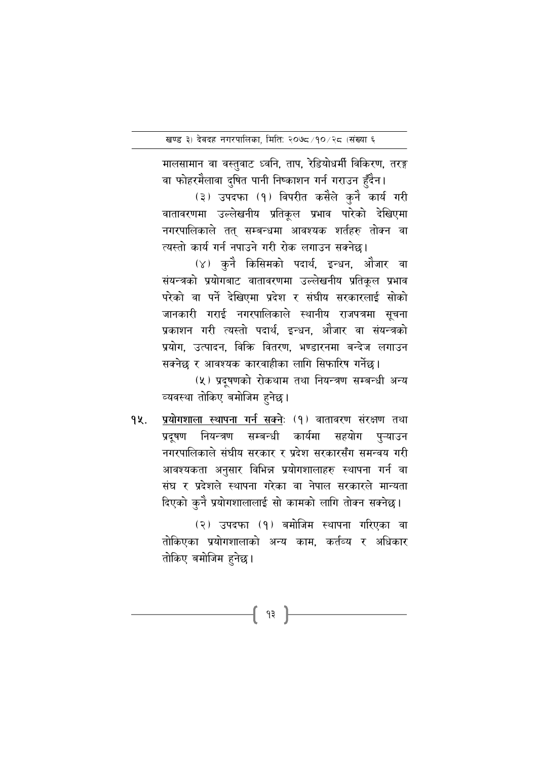मालसामान वा वस्तुवाट ध्वनि, ताप, रेडियोधर्मी विकिरण, तरङ्ग

वा फोहरमैलावा दुषित पानी निष्काशन गर्न गराउन हुँदैन। (३) उपदफा (१) विपरीत कसैले कुनै कार्य गरी वातावरणमा उल्लेखनीय प्रतिकृल प्रभाव पारेको देखिएमा नगरपालिकाले तत् सम्बन्धमा आवश्यक शर्तहरु तोक्न वा त्यस्तो कार्य गर्न नपाउने गरी रोक लगाउन सक्नेछ।

(४) कुनै किसिमको पदार्थ, इन्धन, औजार वा संयन्त्रको प्रयोगबाट वातावरणमा उल्लेखनीय प्रतिकूल प्रभाव परेको वा पर्ने देखिएमा प्रदेश र संघीय सरकारलाई सोको जानकारी गराई नगरपालिकाले स्थानीय राजपत्रमा सूचना प्रकाशन गरी त्यस्तो पदार्थ, इन्धन, ओजार वा संयन्त्रको प्रयोग, उत्पादन, विक्रि वितरण, भण्डारनमा बन्देज लगाउन सक्नेछ र आवश्यक कारवाहीका लागि सिफारिष गर्नेछ।

(५) प्रदुषणको रोकथाम तथा नियन्त्रण सम्बन्धी अन्य व्यवस्था तोकिए बमोजिम हुनेछ।

प्रयोगशाला स्थापना गर्न सक्नेः (१) वातावरण संरक्षण तथा 9k. प्रदुषण नियन्त्रण सम्बन्धी कार्यमा सहयोग पुऱ्याउन नगरपालिकाले संघीय सरकार र प्रदेश सरकारसँग समन्वय गरी आवश्यकता अनुसार विभिन्न प्रयोगशालाहरु स्थापना गर्न वा संघ र प्रदेशले स्थापना गरेका वा नेपाल सरकारले मान्यता दिएको कुनै प्रयोगशालालाई सो कामको लागि तोक्न सक्नेछ।

> (२) उपदफा (१) बमोजिम स्थापना गरिएका वा तोकिएका प्रयोगशालाको अन्य काम, कर्तव्य र अधिकार तोकिए बमोजिम हुनेछ।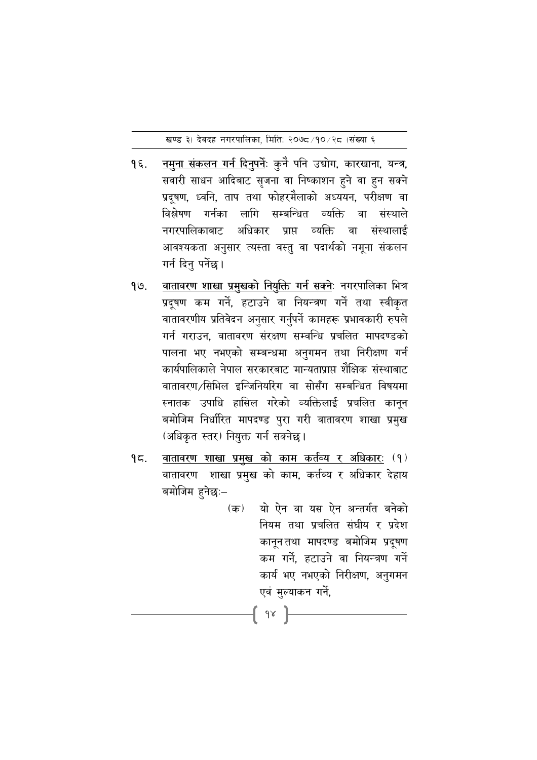खण्ड ३) देवदह नगरपालिका, मिति: २०७८/१०/२८ (संख्या ६

- नमुना संकलन गर्न दिनुपर्नेः कुनै पनि उद्योग, कारखाना, यन्त्र,  $9\xi$ . सवारी साधन आदिबाट सृजना वा निष्काशन हुने वा हुन सक्ने प्रदूषण, ध्वनि, ताप तथा फोहरमैलाको अध्ययन, परीक्षण वा विश्लेषण गर्नका लागि सम्बन्धित व्यक्ति वा संस्थाले अधिकार प्राप्त व्यक्ति वा संस्थालाई नगरपालिकाबाट आवश्यकता अनुसार त्यस्ता वस्तु वा पदार्थको नमूना संकलन गर्न दिनु पर्नेछ ।
- <u>वातावरण शाखा प्रमुखको नियुक्ति गर्न सक्ने</u>ः नगरपालिका भित्र 99. प्रदूषण कम गर्ने, हटाउने वा नियन्त्रण गर्ने तथा स्वीकृत वातावरणीय प्रतिवेदन अनुसार गर्नुपर्ने कामहरू प्रभावकारी रुपले गर्न गराउन, वातावरण संरक्षण सम्वन्धि प्रचलित मापदण्डको पालना भए नभएको सम्बन्धमा अनुगमन तथा निरीक्षण गर्न कार्यपालिकाले नेपाल सरकारबाट मान्यताप्राप्त शैक्षिक संस्थाबाट वातावरण /सिभिल इन्जिनियरिंग वा सोसँग सम्बन्धित विषयमा स्नातक उपाधि हासिल गरेको व्यक्तिलाई प्रचलित कानून बमोजिम निर्धारित मापदण्ड पुरा गरी वातावरण शाखा प्रमुख (अधिकृत स्तर) नियुक्त गर्न सक्नेछ।
- वातावरण शाखा प्रमुख को काम कर्तव्य र अधिकारः (१)  $95.$ वातावरण शाखा प्रमुख को काम, कर्तब्य र अधिकार देहाय बमोजिम हुनेछः–

{ 9x }

यो ऐन वा यस ऐन अन्तर्गत बनेको (क) नियम तथा प्रचलित संघीय र प्रदेश कानुनतथा मापदण्ड बमोजिम प्रदुषण कम गर्ने, हटाउने वा नियन्त्रण गर्ने कार्य भए नभएको निरीक्षण, अनुगमन एवं मुल्याकन गर्ने,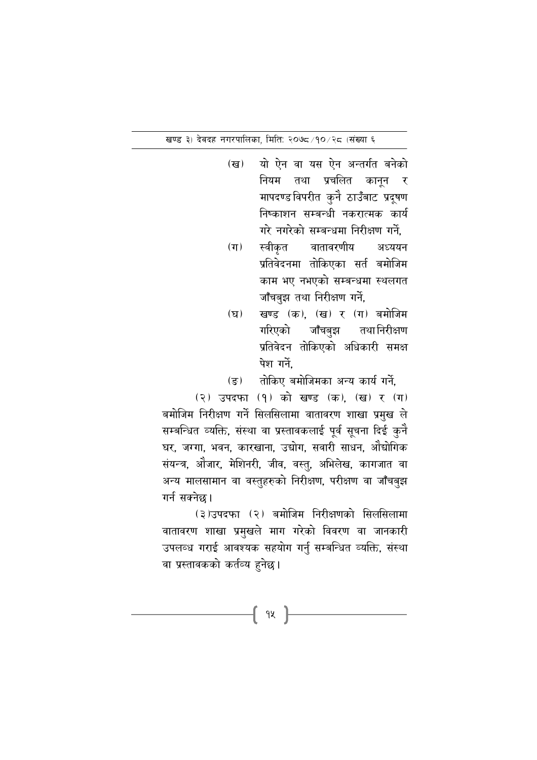खण्ड ३) देवदह नगरपालिका, मिति: २०७८/१०/२८ (संख्या ६

- यो ऐन वा यस ऐन अन्तर्गत बनेको  $(\overline{g})$ नियम तथा प्रचलित कानून ्र मापदण्डविपरीत कुनेै ठाउँबाट प्रदूषण निष्काशन सम्बन्धी नकरात्मक कार्य गरे नगरेको सम्बन्धमा निरीक्षण गर्ने.
- वातावरणीय  $(\pi)$ स्वीकृत अध्ययन प्रतिवेदनमा तोकिएका सर्त बमोजिम काम भए नभएको सम्बन्धमा स्थलगत जाँचबुझ तथा निरीक्षण गर्ने,
- खण्ड (क), (ख) र (ग) बमोजिम  $(\mathbf{F})$ गरिएको जाँचबझ तथा निरीक्षण प्रतिवेदन तोकिएको अधिकारी समक्ष पेश गर्ने.

तोकिए बमोजिमका अन्य कार्य गर्ने.  $(\overline{s})$ 

(२) उपदफा (१) को खण्ड (क), (ख) र (ग) बमोजिम निरीक्षण गर्ने सिलसिलामा वातावरण शाखा प्रमुख ले सम्बन्धित व्यक्ति, संस्था वा प्रस्तावकलाई पूर्व सूचना दिई कुनै घर, जग्गा, भवन, कारखाना, उद्योग, सवारी साधन, औद्योगिक संयन्त्र, औजार, मेशिनरी, जीव, वस्तु, अभिलेख, कागजात वा अन्य मालसामान वा वस्तुहरुको निरीक्षण, परीक्षण वा जाँचबुझ गर्न सक्नेछ।

(३)उपदफा (२) बमोजिम निरीक्षणको सिलसिलामा वातावरण शाखा प्रमुखले माग गरेको विवरण वा जानकारी उपलव्ध गराई आवश्यक सहयोग गर्नु सम्बन्धित व्यक्ति, संस्था वा प्रस्तावकको कर्तव्य हुनेछ।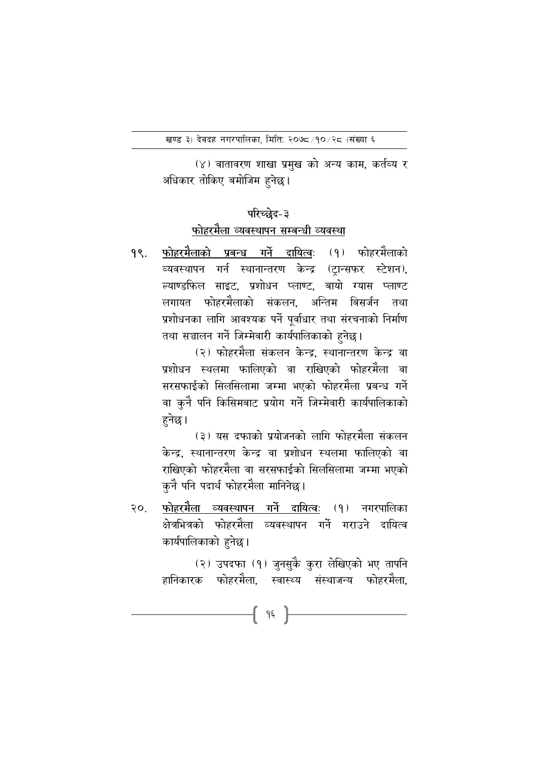(४) वातावरण शाखा प्रमुख को अन्य काम, कर्तव्य र अधिकार तोकिए बमोजिम हुनेछ।

# परिच्छेद-३

# फोहरमैला व्यवस्थापन सम्बन्धी व्यवस्था

<u>फोहरमैलाको प्रबन्ध गर्ने दायित्व</u>ः (१) फोहरमैलाको <u>१९.</u> व्यवस्थापन गर्न स्थानान्तरण केन्द्र (टान्सफर स्टेशन), ल्याण्डफिल साइट. प्रशोधन प्लाण्ट. बायो ग्यास प्लाण्ट लगायत फोहरमैलाको संकलन. अन्तिम बिसर्जन तथा प्रशोधनका लागि आवश्यक पर्ने पूर्वाधार तथा संरचनाको निर्माण तथा सञ्चालन गर्ने जिम्मेवारी कार्यपालिकाको हनेछ।

> (२) फोहरमैला संकलन केन्द्र, स्थानान्तरण केन्द्र वा प्रशोधन स्थलमा फालिएको वा राखिएको फोहरमैला वा सरसफाईको सिलसिलामा जम्मा भएको फोहरमैला प्रबन्ध गर्ने वा कुनै पनि किसिमबाट प्रयोग गर्ने जिम्मेवारी कार्यपालिकाको हनेछ।

> (३) यस दफाको प्रयोजनको लागि फोहरमैला संकलन केन्द्र. स्थानान्तरण केन्द्र वा प्रशोधन स्थलमा फालिएको वा राखिएको फोहरमैला वा सरसफाईको सिलसिलामा जम्मा भएको कुनै पनि पदार्थ फोहरमैला मानिनेछ।

फोहरमैला व्यवस्थापन गर्ने दायित्वः (१) नगरपालिका  $20.$ क्षेत्रभित्रको फोहरमैला व्यवस्थापन गर्ने गराउने दायित्व कार्यपालिकाको हुनेछ।

> (२) उपदफा (१) जुनसुकै कुरा लेखिएको भए तापनि हानिकारक फोहरमैला. स्वास्थ्य संस्थाजन्य फोहरमैला.

> > **-{** 95 }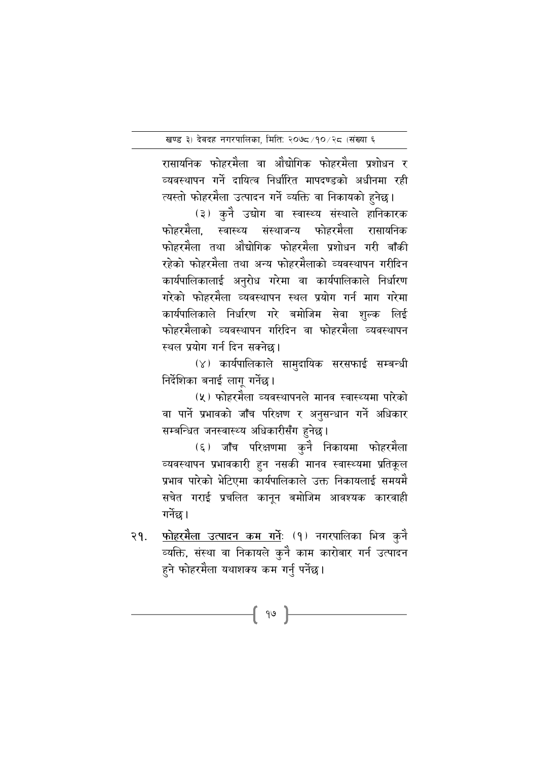रासायनिक फोहरमेला वा आंद्योगिक फोहरमेला प्रशोधन र व्यवस्थापन गर्न दायित्व निर्धारित मापदण्डको अधीनमा रही त्यस्तो फोहरमेला उत्पादन गर्ने व्यक्ति वा निकायको हुनेछ।

(३) कुनै उद्योग वा स्वास्थ्य संस्थाले हानिकारक फोहरमैला, स्वास्थ्य संस्थाजन्य फोहरमैला रासायनिक फोहरमैला तथा औद्योगिक फोहरमैला प्रशोधन गरी बाँकी रहेको फोहरमैला तथा अन्य फोहरमैलाको व्यवस्थापन गरीदिन कार्यपालिकालाई अनुरोध गरेमा वा कार्यपालिकाले निर्धारण गरेको फोहरमेला व्यवस्थापन स्थल प्रयोग गर्न माग गरेमा कार्यपालिकाले निर्धारण गरे बमोजिम सेवा शुल्क लिई फोहरमलाको व्यवस्थापन गरिदिन वा फोहरमेला व्यवस्थापन स्थल प्रयोग गर्न दिन सक्नेछ।

 $(\gamma)$  कार्यपालिकाले सामुदायिक सरसफाई सम्बन्धी निर्देशिका बनाई लागु गर्नेछ।

(५) फोहरमैला व्यवस्थापनले मानव स्वास्थ्यमा पारेको वा पाने प्रभावको जाँच परिक्षण र अनुसन्धान गर्न अधिकार सम्बन्धित जनस्वास्थ्य अधिकारीसँग हुनेछ।

(६) जाँच परिक्षणमा कुने निकायमा फोहरमेला व्यवस्थापन प्रभावकारी हुन नसकी मानव स्वास्थ्यमा प्रतिकूल प्रभाव पारेको भेटिएमा कार्यपालिकाले उक्त निकायलाई समयमें सचेत गराई प्रचलित कानून बमोजिम आवश्यक कारवाही गर्नेछ।

२१. <u>फोहरमैला उत्पादन कम गर्न</u>: (१) नगरपालिका भित्र कुनै व्यक्ति, संस्था वा निकायले कुनै काम कारोबार गर्ने उत्पादन हुने फोहरमैला यथाशक्य कम गर्नु पर्नेछ।

{ 99 }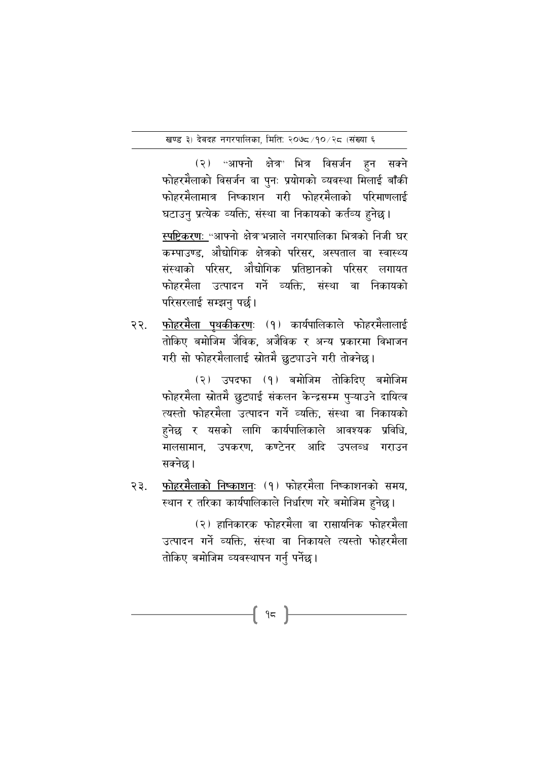(२) "आफ्नो क्षेत्र" भित्र विसर्जन हुन सक्ने फोहरमैलाको विसर्जन वा पुनः प्रयोगको व्यवस्था मिलाई बाँकी फोहरमैलामात्र निष्काशन गरी फोहरमैलाको परिमाणलाई घटाउनु प्रत्येक व्यक्ति, संस्था वा निकायको कर्तव्य हुनेछ।

स्पष्टिकरणः "आफ्नो क्षेत्र भन्नाले नगरपालिका भित्रको निजी घर कम्पाउण्ड. औद्योगिक क्षेत्रको परिसर. अस्पताल वा स्वास्थ्य संस्थाको परिसर, ओद्योगिक प्रतिष्ठानको परिसर लगायत फोहरमैला उत्पादन गर्ने व्यक्ति. संस्था वा निकायको परिसरलाई सम्झन पर्छ।

फोहरमैला पथकीकरणः (१) कार्यपालिकाले फोहरमैलालाई २२. तोकिए बमोजिम जैविक. अजैविक र अन्य प्रकारमा विभाजन गरी सो फोहरमैलालाई स्रोतमै छुट्याउने गरी तोक्नेछ।

> (२) उपदफा (१) बमोजिम तोकिदिए बमोजिम फोहरमैला स्रोतमै छुट्याई संकलन केन्द्रसम्म पुऱ्याउने दायित्व त्यस्तो फोहरमैला उत्पादन गर्ने व्यक्ति, संस्था वा निकायको हुनेछ र यसको लागि कार्यपालिकाले आवश्यक प्रविधि, मालसामान, उपकरण, कण्टेनर आदि उपलब्ध गराउन सक्नेछ।

फोहरमैलाको निष्काशनः (१) फोहरमैला निष्काशनको समय,  $33.$ स्थान र तरिका कार्यपालिकाले निर्धारण गरे बमोजिम हुनेछ।

> (२) हानिकारक फोहरमैला वा रासायनिक फोहरमैला उत्पादन गर्ने व्यक्ति. संस्था वा निकायले त्यस्तो फोहरमैला तोकिए बमोजिम व्यवस्थापन गर्नु पर्नेछ।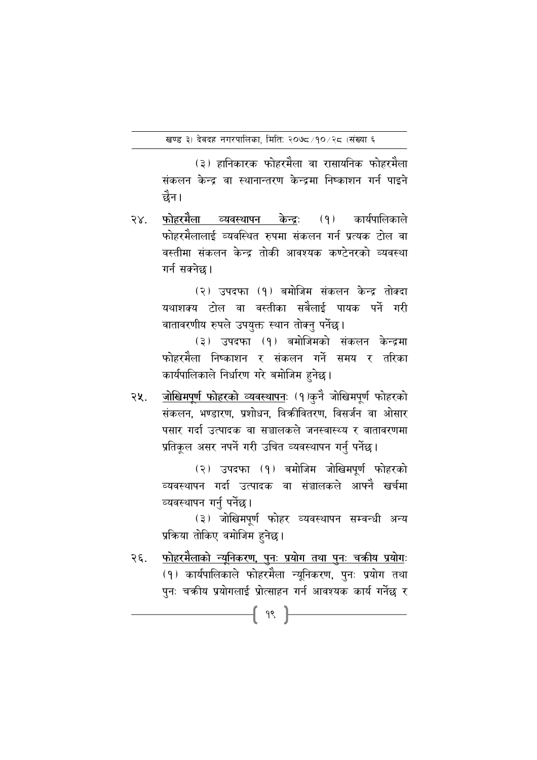(३) हानिकारक फोहरमैला वा रासायनिक फोहरमैला संकलन केन्द्र वा स्थानान्तरण केन्द्रमा निष्काशन गर्न पाइने छेन।

फोहरमैला व्यवस्थापन केन्द्रः (१) कार्यपालिकाले  $58.$ फोहरमैलालाई व्यवस्थित रुपमा संकलन गर्न प्रत्यक टोल वा वस्तीमा संकलन केन्द्र तोकी आवश्यक कण्टेनरको व्यवस्था गर्न सक्नेछ ।

> (२) उपदफा (१) बमोजिम संकलन केन्द्र तोक्दा यथाशक्य टोल वा वस्तीका सबैलाई पायक पर्ने गरी वातावरणीय रुपले उपयुक्त स्थान तोक्नु पर्नेछ।

> (३) उपदफा (१) बमोजिमको संकलन केन्द्रमा फोहरमैला निष्काशन र संकलन गर्ने समय र तरिका कार्यपालिकाले निर्धारण गरे बमोजिम हुनेछ।

<u>जोखिमपूर्ण फोहरको व्यवस्थापन</u>ः (१)कुनै जोखिमपूर्ण फोहरको २५. संकलन, भण्डारण, प्रशोधन, विकीवितरण, विसर्जन वा ओसार पसार गर्दा उत्पादक वा सञ्चालकले जनस्वास्थ्य र वातावरणमा प्रतिकूल असर नपर्ने गरी उचित व्यवस्थापन गर्नु पर्नेछ।

> (२) उपदफा (१) बमोजिम जोखिमपर्ण फोहरको व्यवस्थापन गर्दा उत्पादक वा संञ्चालकले आफ्नै खर्चमा व्यवस्थापन गर्नु पर्नेछ।

> (३) जोखिमपूर्ण फोहर व्यवस्थापन सम्वन्धी अन्य प्रक्रिया तोकिए वमोजिम हुनेछ।

फोहरमैलाको न्यूनिकरण, पुनः प्रयोग तथा पुनः चक्रीय प्रयोगः २६. (१) कार्यपालिकाले फोहरमैला न्यूनिकरण, पुनः प्रयोग तथा पुनः चक्रीय प्रयोगलाई प्रोत्साहन गर्न आवश्यक कार्य गर्नेछ र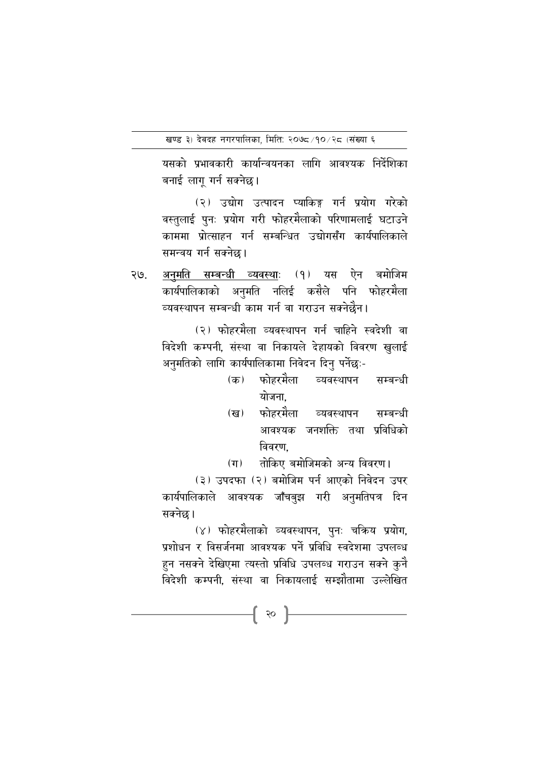यसको प्रभावकारी कार्यान्वयनका लागि आवश्यक निर्देशिका बनाई लागू गर्न सक्नेछ।

(२) उद्योग उत्पादन प्याकिङ्ग गर्न प्रयोग गरेको वस्तुलाई पुनः प्रयोग गरी फोहरमैलाको परिणामलाई घटाउने काममा प्रोत्साहन गर्न सम्बन्धित उद्योगसँग कार्यपालिकाले समन्वय गर्न सक्नेछ।

<u>अनुमति सम्बन्धी व्यवस्थाः</u> (१) यस ऐन बमोजिम २७. कार्यपालिकाको अनुमति नलिई कसैले पनि फोहरमैला व्यवस्थापन सम्बन्धी काम गर्न वा गराउन सक्नेछैन।

> (२) फोहरमैला व्यवस्थापन गर्न चाहिने स्वदेशी वा विदेशी कम्पनी, संस्था वा निकायले देहायको विवरण खुलाई अनुमतिको लागि कार्यपालिकामा निवेदन दिनु पर्नेछः-

- (क) फोहरमैला व्यवस्थापन सम्बन्धी योजना
- फोहरमैला व्यवस्थापन (ख) सम्बन्धी आवश्यक जनशक्ति तथा प्रविधिको विवरण.
- तोकिए बमोजिमको अन्य विवरण।  $(\pi)$

(३) उपदफा (२) बमोजिम पर्न आएको निवेदन उपर कार्यपालिकाले आवश्यक जाँचबुझ गरी अनुमतिपत्र दिन सक्नेछ।

(४) फोहरमैलाको व्यवस्थापन, पुनः चक्रिय प्रयोग, प्रशोधन र विसर्जनमा आवश्यक पर्ने प्रविधि स्वदेशमा उपलब्ध हुन नसक्ने देखिएमा त्यस्तो प्रविधि उपलब्ध गराउन सक्ने कुनै विदेशी कम्पनी. संस्था वा निकायलाई सम्झौतामा उल्लेखित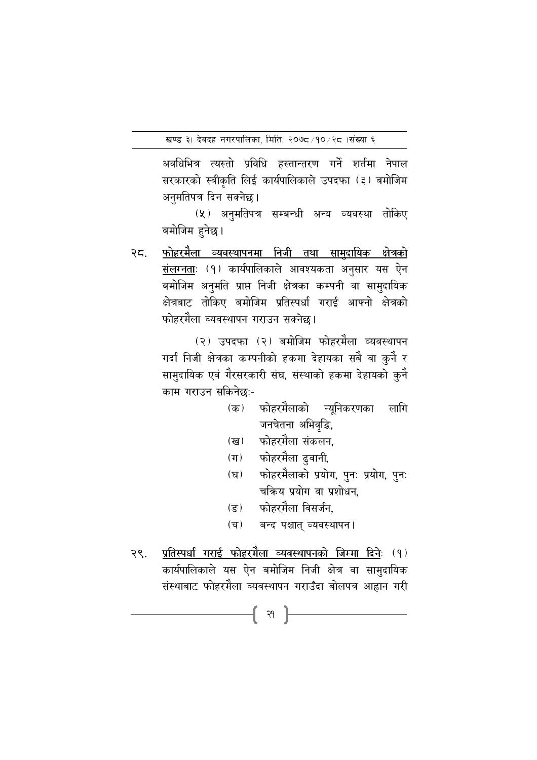अवधिभित्र त्यस्तो प्रविधि हस्तान्तरण गर्ने शर्तमा नेपाल सरकारको स्वीकृति लिई कार्यपालिकाले उपदफा (३) बमोजिम अनुमतिपत्र दिन सक्नेछ।

(५) अनुमतिपत्र सम्बन्धी अन्य व्यवस्था तोकिए बमोजिम हुनेछ।

<u>फोहरमैला व्यवस्थापनमा निजी तथा सामदायिक क्षेत्रको</u> २८. संलग्नताः (१) कार्यपालिकाले आवश्यकता अनुसार यस ऐन बमोजिम अनुमति प्राप्त निजी क्षेत्रका कम्पनी वा सामुदायिक क्षेत्रबाट तोकिए बमोजिम प्रतिस्पर्धा गराई आफ्नो क्षेत्रको फोहरमैला व्यवस्थापन गराउन सक्नेछ।

> (२) उपदफा (२) बमोजिम फोहरमैला व्यवस्थापन गर्दा निजी क्षेत्रका कम्पनीको हकमा देहायका सबै वा कुनै र सामुदायिक एवं गैरसरकारी संघ, संस्थाको हकमा देहायको कुनै काम गराउन सकिनेछः-

- फोहरमैलाको न्यूनिकरणका  $(\overline{a})$ लागि जनचेतना अभिवृद्धि,
- फोहरमैला संकलन. (ख)
- फोहरमैला ढुवानी.  $(\pi)$
- फोहरमैलाको प्रयोग, पुनः प्रयोग, पुनः  $(\nabla)$ चकिय प्रयोग वा प्रशोधन,
- फोहरमैला विसर्जन.  $(\overline{s})$
- बन्द पश्चात् व्यवस्थापन।  $(\overline{\mathbf{q}})$
- प्रतिस्पर्धा गराई फोहरमैला व्यवस्थापनको जिम्मा दिनेः (१) २९. कार्यपालिकाले यस ऐन बमोजिम निजी क्षेत्र वा सामुदायिक संस्थाबाट फोहरमैला व्यवस्थापन गराउँदा बोलपत्र आह्वान गरी

 $-$  ( श  $\}$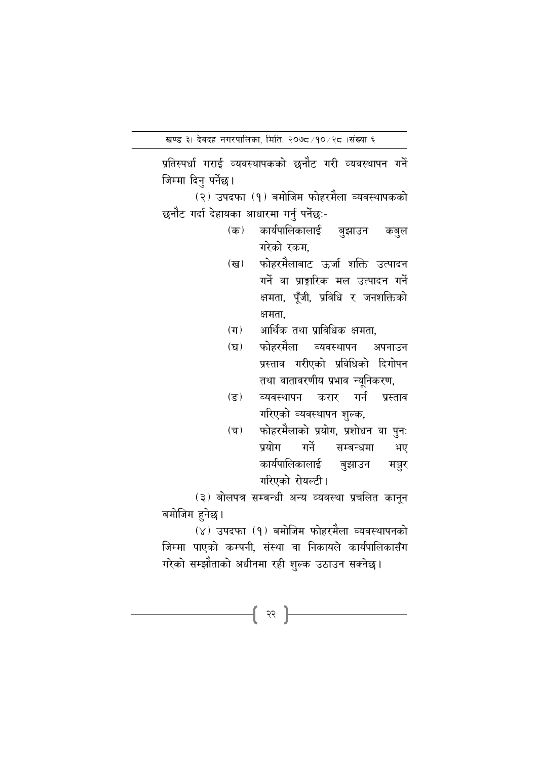प्रतिस्पर्धा गराई व्यवस्थापकको छनौट गरी व्यवस्थापन गर्ने जिम्मा दिनु पर्नेछ ।

(२) उपदफा (१) बमोजिम फोहरमैला व्यवस्थापकको छनौट गर्दा देहायका आधारमा गर्नु पर्नेछः-

- कार्यपालिकालाई (क) बुझाउन कबुल गरेको रकम,
- फोहरमैलाबाट ऊर्जा शक्ति उत्पादन  $(\overline{\mathbf{G}})$ गर्ने वा प्राङ्गारिक मल उत्पादन गर्ने क्षमता, पूँजी, प्रविधि र जनशक्तिको क्षमता.
- आर्थिक तथा प्राविधिक क्षमता.  $(T)$
- फोहरमैला व्यवस्थापन  $(\mathbf{F})$ अपनाउन प्रस्ताव गरीएको प्रविधिको दिगोपन तथा वातावरणीय प्रभाव न्युनिकरण,
- व्यवस्थापन करार गर्न  $(\overline{3})$ प्रस्ताव गरिएको व्यवस्थापन शुल्क,
- फोहरमैलाको प्रयोग, प्रशोधन वा पुनः  $(\overline{\mathbf{v}})$ गर्ने प्रयोग सम्बन्धमा भए कार्यपालिकालाई बुझाउन मञ्जूर गरिएको रोयल्टी।

(३) बोलपत्र सम्बन्धी अन्य व्यवस्था प्रचलित कानुन बमोजिम हनेछ।

(४) उपदफा (१) बमोजिम फोहरमैला व्यवस्थापनको जिम्मा पाएको कम्पनी. संस्था वा निकायले कार्यपालिकासँग गरेको सम्झौताको अधीनमा रही शुल्क उठाउन सक्नेछ।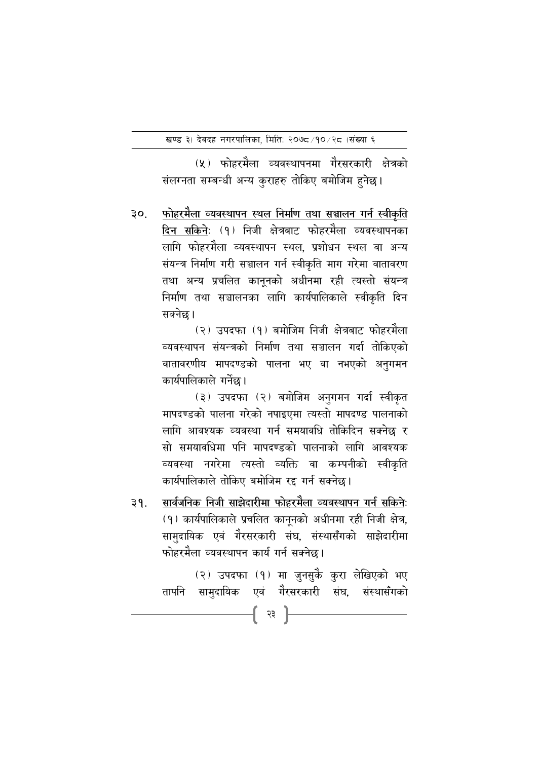(५) फोहरमैला व्यवस्थापनमा गैरसरकारी क्षेत्रको संलग्नता सम्बन्धी अन्य कुराहरु तोकिए बमोजिम हुनेछ।

<u>फोहरमैला व्यवस्थापन स्थल निर्माण तथा सञ्चालन गर्न स्वीकृति</u>  $30<sub>1</sub>$ दिन सकिनेः (१) निजी क्षेत्रबाट फोहरमैला व्यवस्थापनका लागि फोहरमैला व्यवस्थापन स्थल, प्रशोधन स्थल वा अन्य संयन्त्र निर्माण गरी सञ्चालन गर्न स्वीकृति माग गरेमा वातावरण तथा अन्य प्रचलित कानुनको अधीनमा रही त्यस्तो संयन्त्र निर्माण तथा सञ्चालनका लागि कार्यपालिकाले स्वीकृति दिन सक्नेछ।

> (२) उपदफा (१) बमोजिम निजी क्षेत्रबाट फोहरमैला व्यवस्थापन संयन्त्रको निर्माण तथा सञ्चालन गर्दा तोकिएको वातावरणीय मापदण्डको पालना भए वा नभएको अनुगमन कार्यपालिकाले गर्नेछ।

> (३) उपदफा (२) बमोजिम अनुगमन गर्दा स्वीकृत मापदण्डको पालना गरेको नपाइएमा त्यस्तो मापदण्ड पालनाको लागि आवश्यक व्यवस्था गर्न समयावधि तोकिदिन सक्नेछ र सो समयावधिमा पनि मापदण्डको पालनाको लागि आवश्यक व्यवस्था नगरेमा त्यस्तो व्यक्ति वा कम्पनीको स्वीकृति कार्यपालिकाले तोकिए बमोजिम रद्द गर्न सक्नेछ।

सार्वजनिक निजी साझेदारीमा फोहरमैला व्यवस्थापन गर्न सकिने:  $39.$ (१) कार्यपालिकाले प्रचलित कानूनको अधीनमा रही निजी क्षेत्र, सामुदायिक एवं गैरसरकारी संघ, संस्थासँगको साझेदारीमा फोहरमैला व्यवस्थापन कार्य गर्न सक्नेछ।

> (२) उपदफा (१) मा जुनसुकै कुरा लेखिएको भए तापनि सामुदायिक एवं गैरसरकारी संघ, संस्थासँगको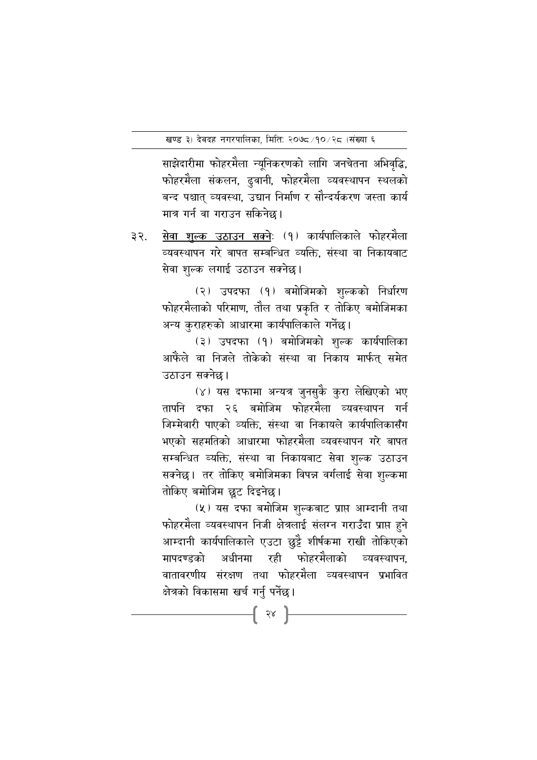साझेदारीमा फोहरमैला न्युनिकरणको लागि जनचेतना अभिवृद्धि, फोहरमैला संकलन, ढुवानी, फोहरमैला व्यवस्थापन स्थलको बन्द पश्चात् व्यवस्था, उद्यान निर्माण र सौन्दर्यकरण जस्ता कार्य मात्र गर्न वा गराउन सकिनेछ।

सेवा शुल्क उठाउन सक्ने: (१) कार्यपालिकाले फोहरमैला ३२. व्यवस्थापन गरे बापत सम्बन्धित व्यक्ति, संस्था वा निकायबाट सेवा शुल्क लगाई उठाउन सक्नेछ।

> (२) उपदफा (१) बमोजिमको शुल्कको निर्धारण फोहरमैलाको परिमाण, तौल तथा प्रकृति र तोकिए बमोजिमका अन्य कुराहरुको आधारमा कार्यपालिकाले गर्नेछ।

> (३) उपदफा (१) बमोजिमको शुल्क कार्यपालिका आफैंले वा निजले तोकेको संस्था वा निकाय मार्फत् समेत उठाउन सक्नेछ।

> (४) यस दफामा अन्यत्र जुनसुकै कुरा लेखिएको भए तापनि दफा २६ बमोजिम फोहरमैला व्यवस्थापन गर्न जिम्मेवारी पाएको व्यक्ति. संस्था वा निकायले कार्यपालिकासँग भएको सहमतिको आधारमा फोहरमैला व्यवस्थापन गरे बापत सम्बन्धित व्यक्ति, संस्था वा निकायबाट सेवा शुल्क उठाउन सक्नेछ। तर तोकिए बमोजिमका विपन्न वर्गलाई सेवा शुल्कमा तोकिए बमोजिम छुट दिइनेछ।

> (५) यस दफा बमोजिम शुल्कबाट प्राप्त आम्दानी तथा फोहरमैला व्यवस्थापन निजी क्षेत्रलाई संलग्न गराउँदा प्राप्त हुने आम्दानी कार्यपालिकाले एउटा छुट्टै शीर्षकमा राखी तोकिएको मापदण्डको अधीनमा रही फोहरमैलाको व्यवस्थापन. वातावरणीय संरक्षण तथा फोहरमैला व्यवस्थापन प्रभावित क्षेत्रको विकासमा खर्च गर्नु पर्नेछ।

> > -{ २४ }-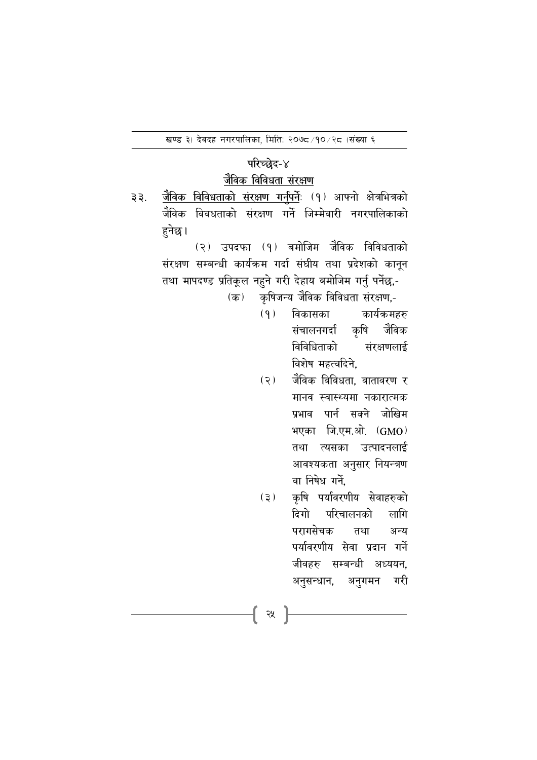#### परिच्छेद-४

# <u>जैविक विविधता संरक्षण</u>

जैविक विविधताको संरक्षण गर्नुपर्नेः (१) आफ्नो क्षेत्रभित्रको ३३. जैविक विवधताको संरक्षण गर्ने जिम्मेवारी नगरपालिकाको हुनेछ ।

> (२) उपदफा (१) बमोजिम जैविक विविधताको संरक्षण सम्बन्धी कार्यक्रम गर्दा संघीय तथा प्रदेशको कानुन तथा मापदण्ड प्रतिकूल नहूने गरी देहाय बमोजिम गर्नु पर्नेछ,-

> > कृषिजन्य जैविक विविधता संरक्षण,-(क)

- $(9)$ विकासका कार्यक्रमहरु संचालनगर्दा कृषि जैविक विविधिताको संरक्षणलाई विशेष महत्वदिने,
- $(5)$ जैविक विविधता. वातावरण र मानव स्वास्थ्यमा नकारात्मक प्रभाव पार्न सक्ने जोखिम भएका जि.एम.ओ. (GMO) तथा त्यसका उत्पादनलाई आवश्यकता अनुसार नियन्त्रण वा निषेध गर्ने.
- कृषि पर्यावरणीय सेवाहरुको  $(3)$ दिगो परिचालनको लागि परागसेचक तथा अन्य पर्यावरणीय सेवा प्रदान गर्ने जीवहरु सम्बन्धी अध्ययन. अनुसन्धान, अनुगमन गरी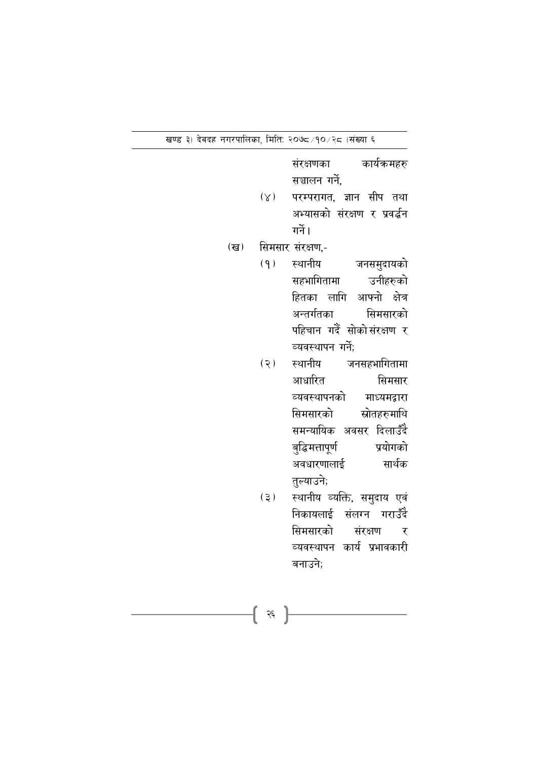कार्यक्रमहरु संरक्षणका सञ्चालन गर्ने.

- परम्परागत, ज्ञान सीप तथा  $(\lambda)$ अभ्यासको संरक्षण र प्रवर्द्धन गर्ने।
- सिमसार संरक्षण,- $(\overline{\mathbf{g}})$ 
	- $(9)$ स्थानीय जनसमुदायको उनीहरुको सहभागितामा हितका लागि आफ्नो क्षेत्र अन्तर्गतका सिमसारको पहिचान गर्दै सोकोसंरक्षण र व्यवस्थापन गर्ने;
	- $(5)$ स्थानीय जनसहभागितामा आधारित सिमसार व्यवस्थापनको माध्यमद्वारा सिमसारको स्रोतहरुमाथि समन्यायिक अवसर दिलाउँदै बुद्धिमत्तापूर्ण प्रयोगको अवधारणालाई सार्थक तुल्याउने;
	- स्थानीय व्यक्ति, समुदाय एवं  $(5)$ निकायलाई संलग्न गराउँदै सिमसारको संरक्षण र व्यवस्थापन कार्य प्रभावकारी बनाउने:

 $\left\{ \begin{array}{c} \approx \end{array} \right\}$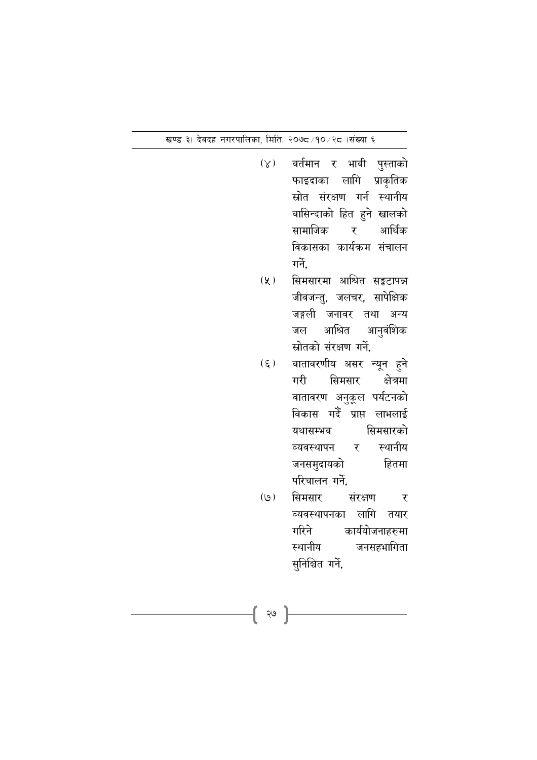- वर्तमान र भावी पुस्ताको  $(\times)$ फाइदाका लागि प्राकृतिक स्रोत संरक्षण गर्न स्थानीय वासिन्दाको हित हुने खालको सामाजिक र आर्थिक विकासका कार्यक्रम संचालन गर्ने.
- सिमसारमा आश्रित सङ्कटापन्न  $(\chi)$ जीवजन्तु, जलचर, सापेक्षिक जङ्गली जनावर तथा अन्य आश्रित आनुवंशिक जल स्रोतको संरक्षण गर्ने,
- $(\xi)$ वातावरणीय असर न्यून हुने गरी सिमसार क्षेत्रमा वातावरण अनुकूल पर्यटनको विकास गर्दै प्राप्त लाभलाई सिमसारको यथासम्भव स्थानीय व्यवस्थापन र जनसमुदायको हितमा परिचालन गर्ने.
- $(9)$ सिमसार संरक्षण ्र व्यवस्थापनका लागि तयार कार्ययोजनाहरुमा गरिने जनसहभागिता स्थानीय सुनिश्चित गर्ने,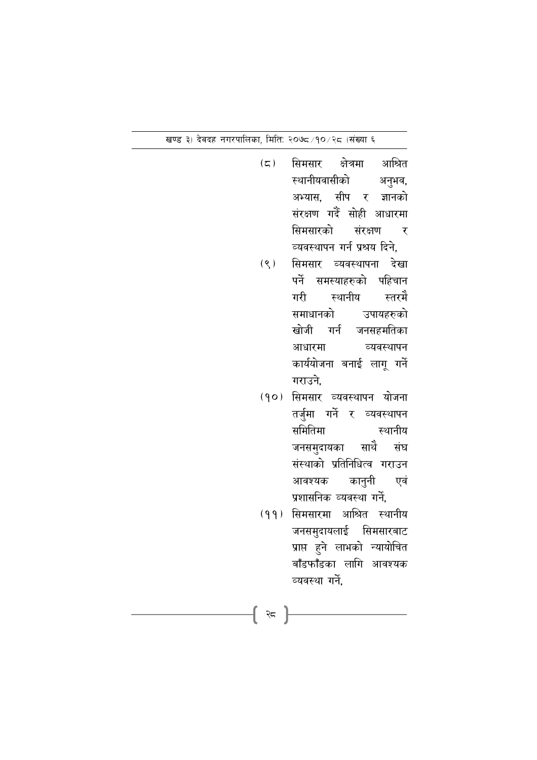- $(\zeta)$ सिमसार क्षेत्रमा आश्रित स्थानीयवासीको अनुभव, अभ्यास, सीप र ज्ञानको संरक्षण गर्दै सोही आधारमा सिमसारको संरक्षण र व्यवस्थापन गर्न प्रश्रय दिने, सिमसार व्यवस्थापना देखा  $(8)$ पर्ने समस्याहरुको पहिचान स्थानीय स्तरमै गरी समाधानको उपायहरुको खोजी गर्न जनसहमतिका व्यवस्थापन आधारमा कार्ययोजना बनाई लागू गर्ने गराउने.
	- (१०) सिमसार व्यवस्थापन योजना तर्जुमा गर्ने र व्यवस्थापन समितिमा स्थानीय जनसमुदायका साथै संघ संस्थाको प्रतिनिधित्व गराउन कानुनी आवश्यक एवं प्रशासनिक व्यवस्था गर्ने,
- (११) सिमसारमा आश्रित स्थानीय जनसमुदायलाई सिमसारबाट प्राप्त हुने लाभको न्यायोचित बाँडफाँडका लागि आवश्यक व्यवस्था गर्ने,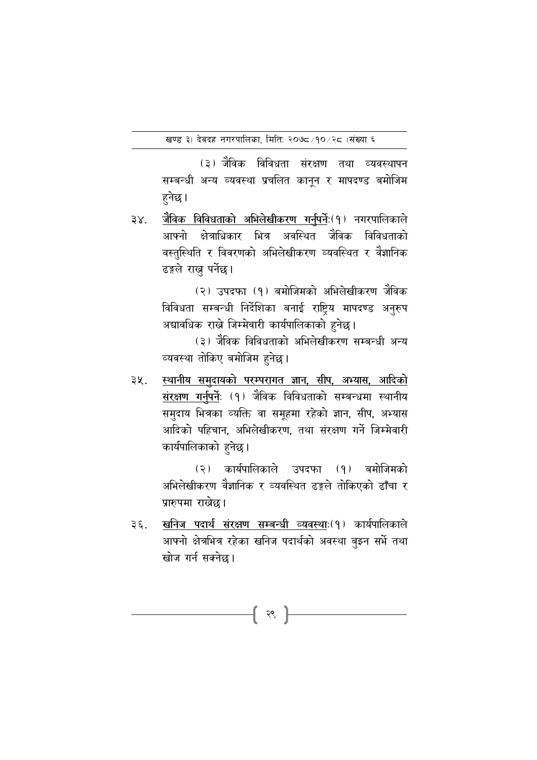(३) जैविक विविधता संरक्षण तथा व्यवस्थापन सम्बन्धी अन्य व्यवस्था प्रचलित कानून र मापदण्ड बमोजिम हुनेछ ।

जैविक विविधताको अभिलेखीकरण गर्नपर्नेः(१) नगरपालिकाले  $3X$ . आफ्नो क्षेत्राधिकार भित्र अवस्थित जैविक विविधताको वस्तस्थिति र विवरणको अभिलेखीकरण व्यवस्थित र वैज्ञानिक ढङ्गले राख्न पर्नेछ।

> (२) उपदफा (१) बमोजिमको अभिलेखीकरण जैविक विविधता सम्बन्धी निर्देशिका बनाई राष्ट्रिय मापदण्ड अनुरुप अद्यावधिक राख्ने जिम्मेवारी कार्यपालिकाको हुनेछ।

> (३) जैविक विविधताको अभिलेखीकरण सम्बन्धी अन्य व्यवस्था तोकिए बमोजिम हुनेछ।

स्थानीय समुदायको परम्परागत ज्ञान, सीप, अभ्यास, आदिको ३५. संरक्षण गर्नुपर्नेः (१) जैविक विविधताको सम्बन्धमा स्थानीय समुदाय भित्रका व्यक्ति वा समूहमा रहेको ज्ञान, सीप, अभ्यास आदिको पहिचान. अभिलेखीकरण. तथा संरक्षण गर्ने जिम्मेवारी कार्यपालिकाको हुनेछ।

> (२) कार्यपालिकाले उपदफा (१) बमोजिमको अभिलेखीकरण वैज्ञानिक र व्यवस्थित ढङ्गले तोकिएको ढाँचा र प्रारुपमा राखेछ।

खनिज पदार्थ संरक्षण सम्बन्धी व्यवस्थाः(१) कार्यपालिकाले  $3\xi$ . आफ्नो क्षेत्रभित्र रहेका खनिज पदार्थको अवस्था बुझ्न सर्भे तथा खोज गर्न सक्नेछ।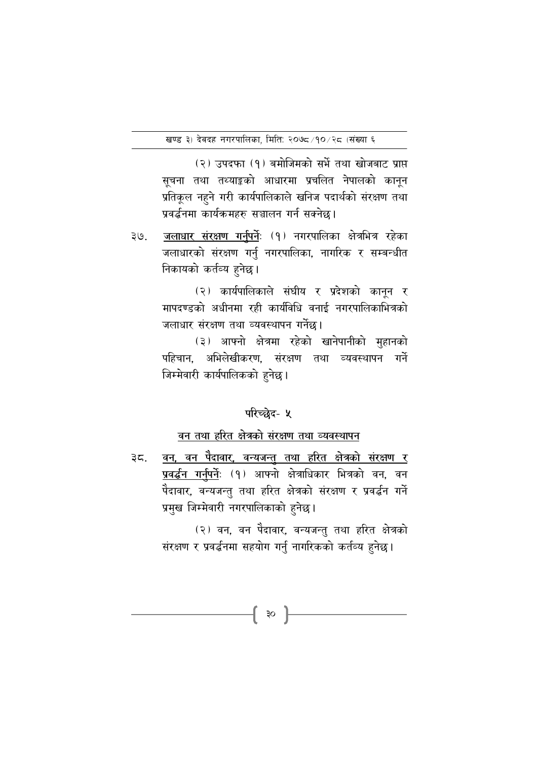(२) उपदफा (१) बमोजिमको सर्भे तथा खोजबाट प्राप्त सूचना तथा तथ्याङ्कको आधारमा प्रचलित नेपालको कानून प्रतिकूल नहुने गरी कार्यपालिकाले खनिज पदार्थको संरक्षण तथा प्रवर्द्धनमा कार्यक्रमहरु सञ्चालन गर्न सक्नेछ।

जलाधार संरक्षण गर्नुपर्नेः (१) नगरपालिका क्षेत्रभित्र रहेका ३७. जलाधारको संरक्षण गर्नु नगरपालिका, नागरिक र सम्बन्धीत निकायको कर्तव्य हुनेछ।

> (२) कार्यपालिकाले संघीय र प्रदेशको कानून र मापदण्डको अधीनमा रही कार्यविधि वनाई नगरपालिकाभित्रको जलाधार संरक्षण तथा व्यवस्थापन गर्नेछ।

> (३) आफ्नो क्षेत्रमा रहेको खानेपानीको मुहानको पहिचान, अभिलेखीकरण, संरक्षण तथा व्यवस्थापन गर्ने जिम्मेवारी कार्यपालिकको हुनेछ।

# परिच्छेद- ५

#### वन तथा हरित क्षेत्रको संरक्षण तथा व्यवस्थापन

<u>वन, वन पैदावार, वन्यजन्त तथा हरित क्षेत्रको संरक्षण र</u> ३८. प्रवर्द्धन गर्नुपर्नेः (१) आफ्नो क्षेत्राधिकार भित्रको वन, वन पैदावार, वन्यजन्तु तथा हरित क्षेत्रको संरक्षण र प्रवर्द्धन गर्ने प्रमुख जिम्मेवारी नगरपालिकाको हुनेछ।

{ ॐ }

(२) वन, वन पैदावार, वन्यजन्तु तथा हरित क्षेत्रको संरक्षण र प्रवर्द्धनमा सहयोग गर्नु नागरिकको कर्तव्य हुनेछ।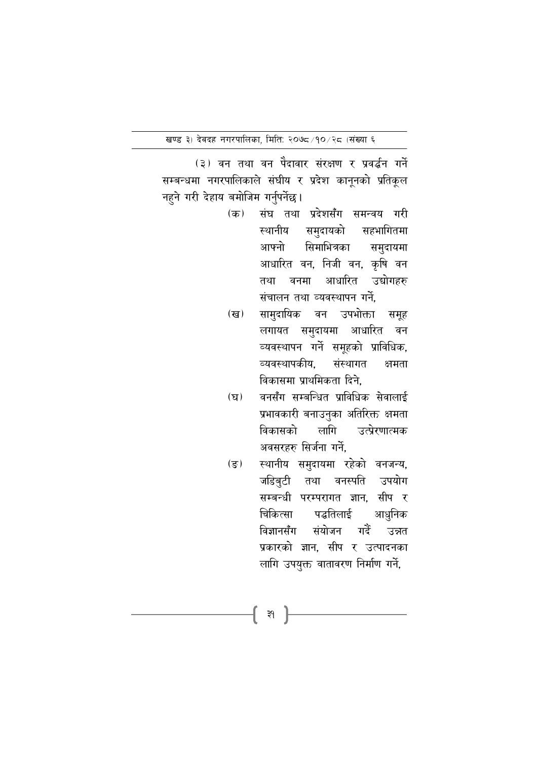(३) वन तथा वन पैदावार संरक्षण र प्रवर्द्धन गर्ने सम्बन्धमा नगरपालिकाले संघीय र प्रदेश कानूनको प्रतिकूल नहुने गरी देहाय बमोजिम गर्नुपर्नेछ।

- संघ तथा प्रदेशसँग समन्वय गरी  $(\overline{a})$ स्थानीय समुदायको सहभागितमा आफ्नो सिमाभित्रका समुदायमा आधारित वन, निजी वन, कृषि वन तथा वनमा आधारित उद्योगहरु संचालन तथा व्यवस्थापन गर्ने,
- सामुदायिक वन उपभोक्ता समूह  $(\overline{g})$ लगायत समुदायमा आधारित वन व्यवस्थापन गर्ने समूहको प्राविधिक, व्यवस्थापकीय. संस्थागत क्षमता विकासमा प्राथमिकता दिने.
- वनसँग सम्बन्धित प्राविधिक सेवालाई  $(\nabla)$ प्रभावकारी बनाउनुका अतिरिक्त क्षमता उत्प्रेरणात्मक विकासको लागि अवसरहरु सिर्जना गर्ने.
- स्थानीय समुदायमा रहेको वनजन्य, (इ.) जडिबटी तथा वनस्पति उपयोग सम्बन्धी परम्परागत ज्ञान, सीप र आधुनिक चिकित्सा पद्धतिलाई संयोजन गर्दे विज्ञानसँग उन्नत प्रकारको ज्ञान. सीप र उत्पादनका लागि उपयुक्त वातावरण निर्माण गर्ने,

-{ ३१ }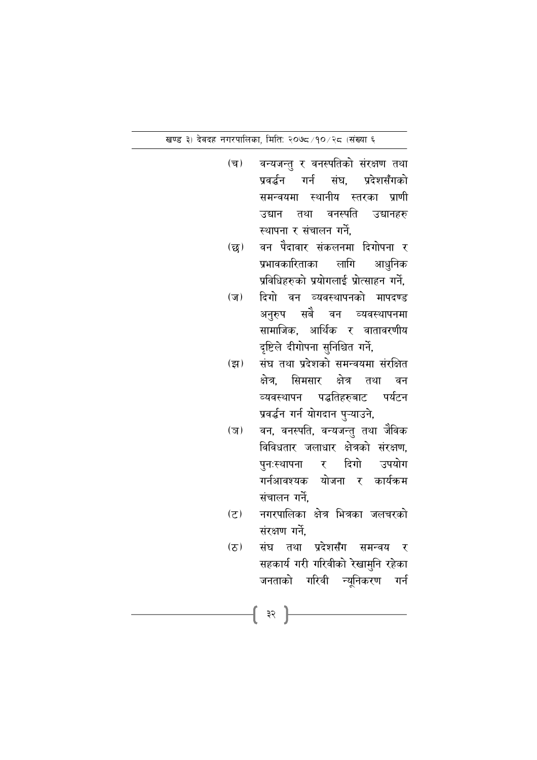खण्ड ३) देवदह नगरपालिका, मिति: २०७८/१०/२८ (संख्या ६

- $(\overline{\mathbf{u}})$ वन्यजन्तु र वनस्पतिको संरक्षण तथा प्रवर्द्धन गर्न संघ. प्रदेशसँगको समन्वयमा स्थानीय स्तरका प्राणी उद्यान तथा वनस्पति उद्यानहरु स्थापना र संचालन गर्ने.
- वन पैदावार संकलनमा दिगोपना र  $(\overline{\mathbf{g}})$ प्रभावकारिताका लागि आधुनिक प्रविधिहरुको प्रयोगलाई प्रोत्साहन गर्ने.
- दिगो वन व्यवस्थापनको मापदण्ड  $(\overline{\nu})$ अनुरुप सबै वन व्यवस्थापनमा सामाजिक, आर्थिक र वातावरणीय दृष्टिले दीगोपना सुनिश्चित गर्ने,
- संघ तथा प्रदेशको समन्वयमा संरक्षित  $(\overline{z}$ क्षेत्र. सिमसार क्षेत्र तथा वन व्यवस्थापन पद्धतिहरुबाट पर्यटन प्रवर्द्धन गर्न योगदान पुऱ्याउने,
- वन, वनस्पति, वन्यजन्तु तथा जैविक  $(\overline{\sigma})$ विविधतार जलाधार क्षेत्रको संरक्षण. पुनःस्थापना र दिगो उपयोग गर्नआवश्यक योजना र कार्यक्रम संचालन गर्ने.
- नगरपालिका क्षेत्र भित्रका जलचरको  $(5)$ संरक्षण गर्ने.
- संघ तथा प्रदेशसँग समन्वय र  $(5)$ सहकार्य गरी गरिवीको रेखामुनि रहेका जनताको गरिवी न्यूनिकरण गर्न

**{ ३२ }**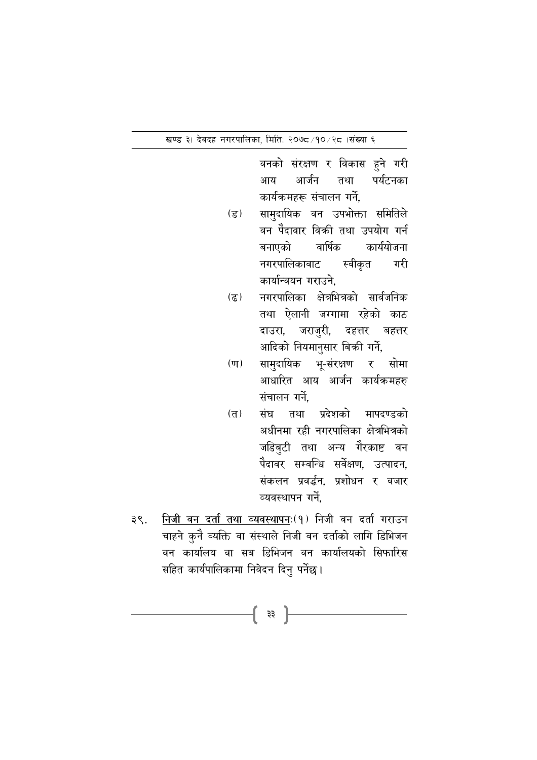खण्ड ३) देवदह नगरपालिका, मिति: २०७८/१०/२८ (संख्या ६

वनको संरक्षण र विकास हुने गरी आर्जन तथा पर्यटनका आय कार्यक्रमहरू संचालन गर्ने,

- सामुदायिक वन उपभोक्ता समितिले  $\overline{5}$ वन पैदावार विक्री तथा उपयोग गर्न बनाएको वार्षिक कार्ययोजना नगरपालिकावाट स्वीकृत गरी कार्यान्वयन गराउने.
- नगरपालिका क्षेत्रभित्रको सार्वजनिक  $(5)$ तथा ऐलानी जग्गामा रहेको काठ दाउरा, जराजुरी, दहत्तर बहत्तर आदिको नियमानुसार बिकी गर्ने,
- सामुदायिक भू-संरक्षण र सोमा  $(\overline{\mathbf{u}})$ आधारित आय आर्जन कार्यक्रमहरु संचालन गर्ने.
- संघ तथा प्रदेशको मापदण्डको  $(\overline{D})$ अधीनमा रही नगरपालिका क्षेत्रभित्रको जडिबुटी तथा अन्य गैरकाष्ट वन पैदावर सम्वन्धि सर्वेक्षण. उत्पादन. संकलन प्रवर्द्धन. प्रशोधन र वजार व्यवस्थापन गर्ने
- <u>निजी वन दर्ता तथा व्यवस्थापनः(१) निजी वन दर्ता गराउन</u> ३९. चाहने कुनै व्यक्ति वा संस्थाले निजी वन दर्ताको लागि डिभिजन वन कार्यालय वा सब डिभिजन वन कार्यालयको सिफारिस सहित कार्यपालिकामा निवेदन दिनु पर्नेछ।

-[ ३३ ]-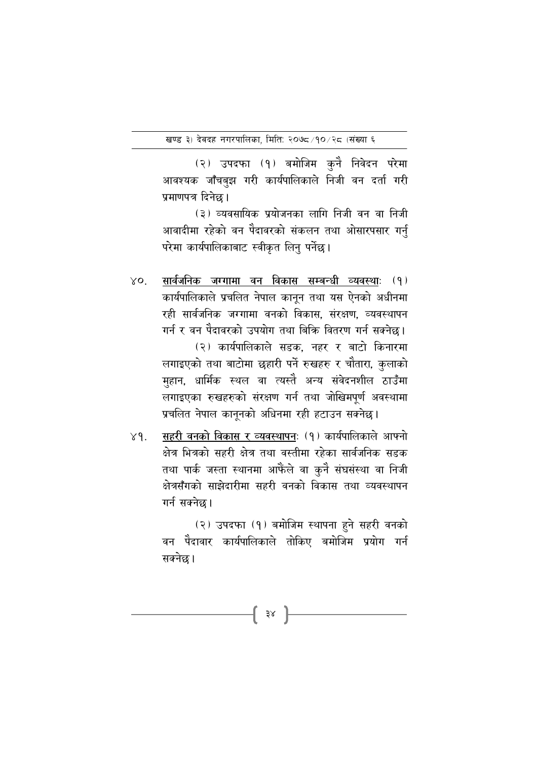(२) उपदफा (१) बमोजिम कुनै निवेदन परेमा आवश्यक जाँचबुझ गरी कार्यपालिकाले निजी वन दर्ता गरी प्रमाणपत्र दिनेछ ।

(३) व्यवसायिक प्रयोजनका लागि निजी वन वा निजी आवादीमा रहेको वन पैदावरको संकलन तथा ओसारपसार गर्नु परेमा कार्यपालिकाबाट स्वीकृत लिनु पर्नेछ।

सार्वजनिक जग्गामा वन विकास सम्बन्धी व्यवस्थाः (१)  $X_{\mathbf{O}}$ कार्यपालिकाले प्रचलित नेपाल कानुन तथा यस ऐनको अधीनमा रही सार्वजनिक जग्गामा वनको विकास, संरक्षण, व्यवस्थापन गर्न र वन पैदावरको उपयोग तथा बिकि वितरण गर्न सक्नेछ। (२) कार्यपालिकाले सडक, नहर र बाटो किनारमा लगाइएको तथा बाटोमा छहारी पर्ने रुखहरु र चौतारा, कुलाको मुहान, धार्मिक स्थल वा त्यस्तै अन्य संवेदनशील ठाउँमा लगाइएका रुखहरुको संरक्षण गर्न तथा जोखिमपूर्ण अवस्थामा प्रचलित नेपाल कानूनको अधिनमा रही हटाउन सक्नेछ।

सहरी वनको विकास र व्यवस्थापनः (१) कार्यपालिकाले आफ्नो  $Y$ 9. क्षेत्र भित्रको सहरी क्षेत्र तथा वस्तीमा रहेका सार्वजनिक सड़क तथा पार्क जस्ता स्थानमा आफैंले वा कुनै संघसंस्था वा निजी क्षेत्रसँगको साझेदारीमा सहरी वनको विकास तथा व्यवस्थापन गर्न सक्नेछ।

> (२) उपदफा (१) बमोजिम स्थापना हुने सहरी वनको वन पैदावार कार्यपालिकाले तोकिए बमोजिम प्रयोग गर्न सक्नेछ।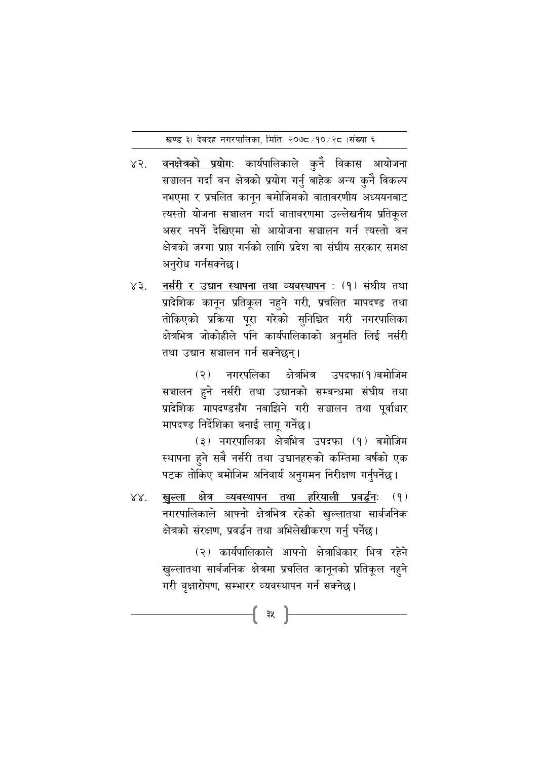- वनक्षेत्रको प्रयोगः कार्यपालिकाले कुनै विकास आयोजना  $X2.$ सञ्चालन गर्दा वन क्षेत्रको प्रयोग गर्नु बाहेक अन्य कुनै विकल्प नभएमा र प्रचलित कानून बमोजिमको वातावरणीय अध्ययनबाट त्यस्तो योजना सञ्चालन गर्दा वातावरणमा उल्लेखनीय प्रतिकल असर नपर्ने देखिएमा सो आयोजना सञ्चालन गर्न त्यस्तो वन क्षेत्रको जग्गा प्राप्त गर्नको लागि प्रदेश वा संघीय सरकार समक्ष अनुरोध गर्नसक्नेछ।
- नर्सरी र उद्यान स्थापना तथा व्यवस्थापन : (१) संघीय तथा  $X3.$ प्रादेशिक कानून प्रतिकूल नहुने गरी, प्रचलित मापदण्ड तथा तोकिएको प्रकिया पूरा गरेको सुनिश्चित गरी नगरपालिका क्षेत्रभित्र जोकोहीले पनि कार्यपालिकाको अनुमति लिई नर्सरी तथा उद्यान सञ्चालन गर्न सक्नेछन्।

नगरपलिका क्षेत्रभित्र उपदफा(१)बमोजिम  $(5)$ सञ्चालन हुने नर्सरी तथा उद्यानको सम्बन्धमा संघीय तथा प्रादेशिक मापदण्डसँग नबाझिने गरी सञ्चालन तथा पूर्वाधार मापदण्ड निर्देशिका बनाई लागु गर्नेछ।

(३) नगरपालिका क्षेत्रभित्र उपदफा (१) बमोजिम स्थापना हुने सबै नर्सरी तथा उद्यानहरुको कम्तिमा वर्षको एक पटक तोकिए बमोजिम अनिवार्य अनुगमन निरीक्षण गर्नुपर्नेछ।

खल्ला क्षेत्र व्यवस्थापन तथा हरियाली प्रवर्द्धनः  $88.$  $(9)$ नगरपालिकाले आफ्नो क्षेत्रभित्र रहेको खुल्लातथा सार्वजनिक क्षेत्रको संरक्षण, प्रवर्द्धन तथा अभिलेखीकरण गर्नु पर्नेछ।

-{ ३४ }-

(२) कार्यपालिकाले आफ्नो क्षेत्राधिकार भित्र रहेने खुल्लातथा सार्वजनिक क्षेत्रमा प्रचलित कानूनको प्रतिकूल नहुने गरी वृक्षारोपण, सम्भारर व्यवस्थापन गर्न सक्नेछ।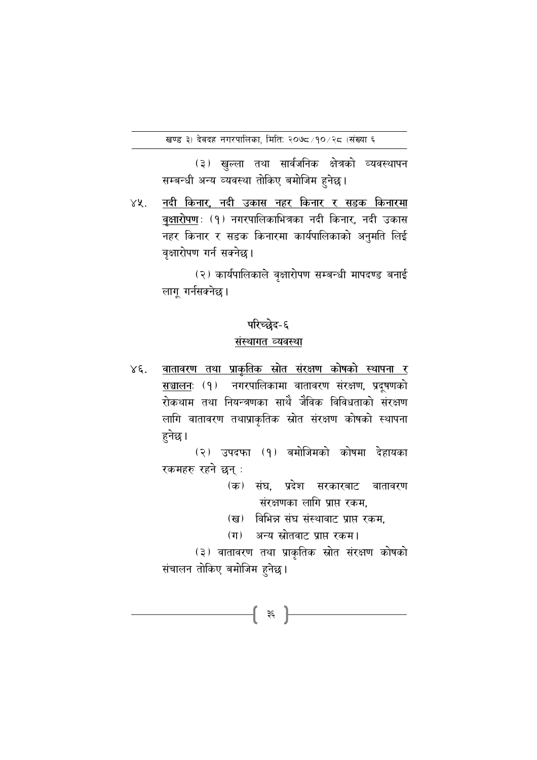(३) खुल्ला तथा सार्वजनिक क्षेत्रको व्यवस्थापन सम्बन्धी अन्य व्यवस्था तोकिए बमोजिम हुनेछ।

नदी किनार, नदी उकास नहर किनार र सडक किनारमा  $X\mathcal{X}.$ वृक्षारोपण: (१) नगरपालिकाभित्रका नदी किनार, नदी उकास नहर किनार र सडक किनारमा कार्यपालिकाको अनुमति लिई वक्षारोपण गर्न सक्नेछ।

> (२) कार्यपालिकाले वृक्षारोपण सम्बन्धी मापदण्ड बनाई लागू गर्नसक्नेछ।

#### परिच्छेद-६

#### संस्थागत व्यवस्था

वातावरण तथा प्राकृतिक स्रोत संरक्षण कोषको स्थापना र  $x \xi$ . सञ्चालनः (१) नगरपालिकामा वातावरण संरक्षण, प्रदूषणको रोकथाम तथा नियन्त्रणका साथै जैविक विविधताको संरक्षण लागि वातावरण तथाप्राकृतिक स्रोत संरक्षण कोषको स्थापना हनेछ।

> (२) उपदफा (१) बमोजिमको कोषमा देहायका रकमहरु रहने छन् :

- (क) संघ. प्रदेश सरकारबाट वातावरण संरक्षणका लागि प्राप्त रकम,
- (ख) विभिन्न संघ संस्थावाट प्राप्त रकम.
- (ग) अन्य स्रोतवाट प्राप्त रकम।

(३) वातावरण तथा प्राकृतिक स्रोत संरक्षण कोषको संचालन तोकिए बमोजिम हुनेछ।

-[ ३६ ]े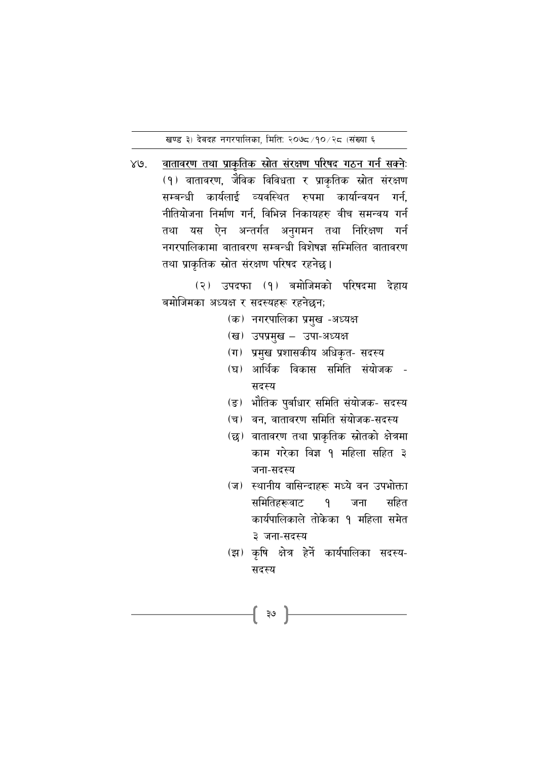खण्ड ३) देवदह नगरपालिका, मिति: २०७८/१०/२८ (संख्या ६

 $XQ$ वातावरण तथा प्राकृतिक स्रोत संरक्षण परिषद गठन गर्न सक्नेः (१) वातावरण, जैविक विविधता र प्राकृतिक स्रोत संरक्षण सम्बन्धी कार्यलाई व्यवस्थित रुपमा कार्यान्वयन गर्न, नीतियोजना निर्माण गर्न. विभिन्न निकायहरु वीच समन्वय गर्न तथा यस ऐन अन्तर्गत अनुगमन तथा निरिक्षण गर्न नगरपालिकामा वातावरण सम्बन्धी विशेषज्ञ सम्मिलित वातावरण तथा प्राकृतिक स्रोत संरक्षण परिषद रहनेछ।

> (२) उपदफा (१) बमोजिमको परिषदमा देहाय बमोजिमका अध्यक्ष र सदस्यहरू रहनेछन;

- (क) नगरपालिका प्रमुख -अध्यक्ष
- (ख) उपप्रमुख उपा-अध्यक्ष
- (ग) प्रमुख प्रशासकीय अधिकृत- सदस्य
- (घ) आर्थिक विकास समिति संयोजक -सदस्य
- (ङ) भौतिक पुर्बाधार समिति संयोजक- सदस्य
- (च) वन, वातावरण समिति संयोजक-सदस्य
- (छ) वातावरण तथा प्राकृतिक स्रोतको क्षेत्रमा काम गरेका विज्ञ १ महिला सहित ३ जना-सदस्य
- (ज) स्थानीय वासिन्दाहरू मध्ये वन उपभोक्ता समितिहरूवाट  $\mathsf{q}$ जना सहित कार्यपालिकाले तोकेका १ महिला समेत ३ जना-सदस्य
- (झ) कृषि क्षेत्र हेर्ने कार्यपालिका सदस्य-सदस्य

{ ३७ }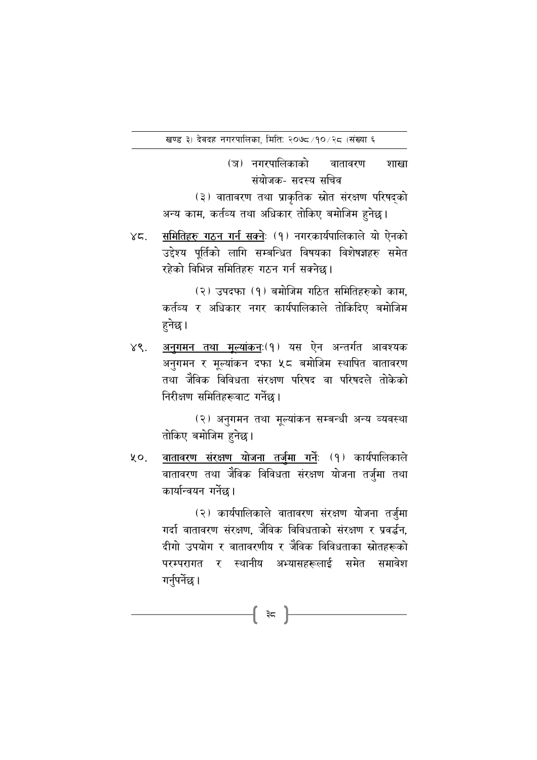(ञ) नगरपालिकाको वातावरण शाखा संयोजक- सदस्य सचिव

(३) वातावरण तथा प्राकृतिक स्रोत संरक्षण परिषदको अन्य काम, कर्तव्य तथा अधिकार तोकिए बमोजिम हुनेछ।

समितिहरु गठन गर्न सक्नेः (१) नगरकार्यपालिकाले यो ऐनको  $\gamma$ z उद्देश्य पुर्तिको लागि सम्बन्धित विषयका विशेषज्ञहरु समेत रहेको विभिन्न समितिहरु गठन गर्न सक्नेछ।

> (२) उपदफा (१) बमोजिम गठित समितिहरुको काम. कर्तव्य र अधिकार नगर कार्यपालिकाले तोकिदिए बमोजिम हुनेछ ।

<u>अनुगमन तथा मूल्यांकन</u>ः(१) यस ऐन अन्तर्गत आवश्यक  $X_{\mathcal{S}}$ . अनुगमन र मूल्यांकन दफा ५८ बमोजिम स्थापित वातावरण तथा जैविक विविधता संरक्षण परिषद वा परिषदले तोकेको निरीक्षण समितिहरूवाट गर्नेछ।

> (२) अनुगमन तथा मूल्यांकन सम्बन्धी अन्य व्यवस्था तोकिए बमोजिम हुनेछ।

वातावरण संरक्षण योजना तर्जुमा गर्नेः (१) कार्यपालिकाले  $40.$ वातावरण तथा जैविक विविधता संरक्षण योजना तर्जुमा तथा कार्यान्वयन गर्नेछ।

> (२) कार्यपालिकाले वातावरण संरक्षण योजना तर्जुमा गर्दा वातावरण संरक्षण. जैविक विविधताको संरक्षण र प्रवर्द्धन. दीगो उपयोग र वातावरणीय र जैविक विविधताका स्रोतहरूको परम्परागत र स्थानीय अभ्यासहरूलाई समेत समावेश गर्नुपर्नेछ।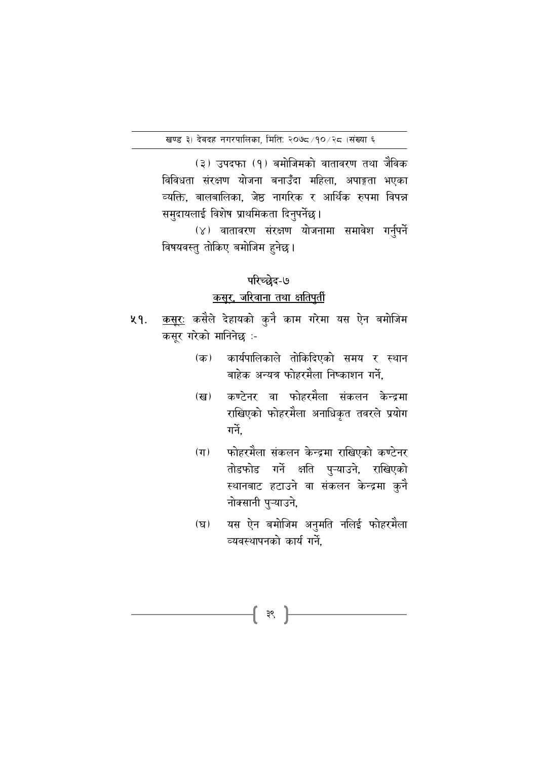(३) उपदफा (१) बमोजिमको वातावरण तथा जैविक विविधता संरक्षण योजना बनाउँदा महिला, अपाङ्गता भएका व्यक्ति, बालबालिका, जेष्ठ नागरिक र आर्थिक रुपमा विपन्न समुदायलाई विशेष प्राथमिकता दिनुपर्नेछ।

(४) वातावरण संरक्षण योजनामा समावेश गर्नुपर्ने विषयवस्तु तोकिए बमोजिम हुनेछ।

#### परिच्छेद-७

# कसूर, जरिवाना तथा क्षतिपूर्ती

- <u>कसूरः</u> कसैले देहायको कुनै काम गरेमा यस ऐन बमोजिम  $49.$ कसूर गरेको मानिनेछ :-
	- कार्यपालिकाले तोकिदिएको समय र स्थान  $(\overline{\Phi})$ बाहेक अन्यत्र फोहरमैला निष्काशन गर्ने.
	- कण्टेनर वा फोहरमैला संकलन केन्द्रमा  $(\overline{g})$ राखिएको फोहरमैला अनाधिकृत तवरले प्रयोग गर्ने
	- फोहरमैला संकलन केन्द्रमा राखिएको कण्टेनर  $(\pi)$ तोडफोड गर्ने क्षति पुऱ्याउने, राखिएको स्थानबाट हटाउने वा संकलन केन्द्रमा कुनै नोक्सानी पुऱ्याउने,
	- यस ऐन बमोजिम अनुमति नलिई फोहरमैला  $(\mathbf{F})$ व्यवस्थापनको कार्य गर्ने.

{ ३९ }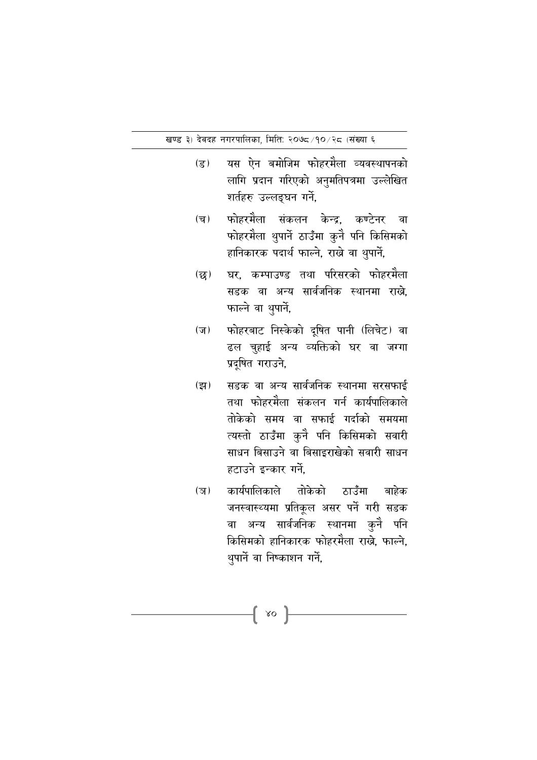- यस ऐन बमोजिम फोहरमैला व्यवस्थापनको  $(\overline{\mathcal{S}})$ लागि प्रदान गरिएको अनुमतिपत्रमा उल्लेखित शर्तहरु उल्लङ्घन गर्ने,
- फोहरमैला संकलन केन्द्र. कण्टेनर  $(\overline{\mathbf{v}})$ ्वा फोहरमैला थुपार्ने ठाउँमा कुनै पनि किसिमको हानिकारक पदार्थ फाल्ने, राख्ने वा थुपार्ने,
- घर. कम्पाउण्ड तथा परिसरको फोहरमैला  $\overline{\mathfrak{B}}$ सडक वा अन्य सार्वजनिक स्थानमा राख<mark>े</mark>, फाल्ने वा थुपार्ने,
- फोहरबाट निस्केको दुषित पानी (लिचेट) वा  $(\overline{\mathbf{v}})$ ढल चुहाई अन्य व्यक्तिको घर वा जग्गा प्रदूषित गराउने,
- सडक वा अन्य सार्वजनिक स्थानमा सरसफाई  $(\overline{z}$ तथा फोहरमैला संकलन गर्न कार्यपालिकाले तोकेको समय वा सफाई गर्दाको समयमा त्यस्तो ठाउँमा कुनै पनि किसिमको सवारी साधन बिसाउने वा बिसाइराखेको सवारी साधन हटाउने इन्कार गर्ने.
- कार्यपालिकाले तोकेको ठाउँमा बाहेक  $(\overline{3})$ जनस्वास्थ्यमा प्रतिकूल असर पर्ने गरी सडक वा अन्य सार्वजनिक स्थानमा कुनै पनि किसिमको हानिकारक फोहरमैला राखे. फाल्ने. थुपार्ने वा निष्काशन गर्ने,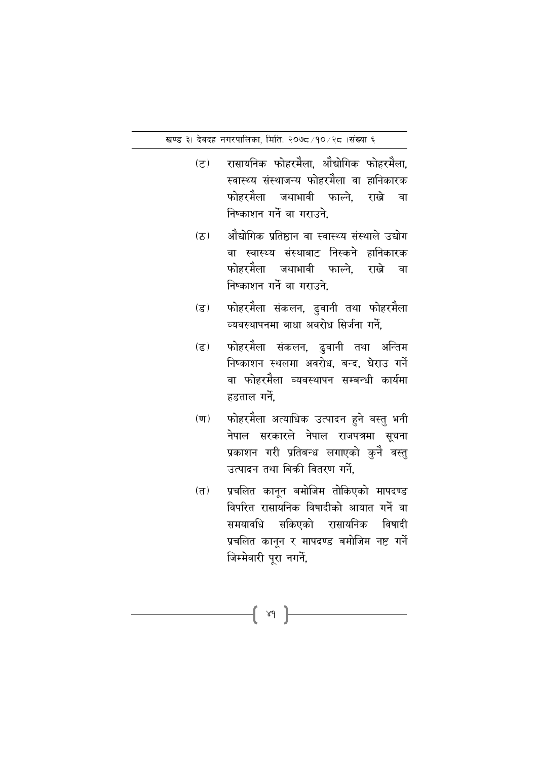- रासायनिक फोहरमैला. औद्योगिक फोहरमैला.  $(5)$ स्वास्थ्य संस्थाजन्य फोहरमैला वा हानिकारक फोहरमेेला जथाभावी फाल्ने. राखे वा निष्काशन गर्ने वा गराउने.
- ओंद्योगिक प्रतिष्ठान वा स्वास्थ्य संस्थाले उद्योग  $(2)$ वा स्वास्थ्य संस्थाबाट निस्कने हानिकारक फोहरमैला जथाभावी फाल्ने. राखे वा निष्काशन गर्ने वा गराउने.
- फोहरमैला संकलन, ढुवानी तथा फोहरमैला  $(\overline{5})$ व्यवस्थापनमा बाधा अवरोध सिर्जना गर्ने.
- फोहरमैला संकलन, ढुवानी तथा अन्तिम  $(5)$ निष्काशन स्थलमा अवरोध. बन्द. घेराउ गर्ने वा फोहरमैला व्यवस्थापन सम्बन्धी कार्यमा हडताल गर्ने.
- फोहरमैला अत्याधिक उत्पादन हुने वस्तु भनी  $(\overline{\mathbf{u}})$ नेपाल सरकारले नेपाल राजपत्रमा सूचना प्रकाशन गरी प्रतिबन्ध लगाएको कुनै वस्तु उत्पादन तथा बिकी वितरण गर्ने.
- प्रचलित कानून बमोजिम तोकिएको मापदण्ड  $(T)$ विपरित रासायनिक विषादीको आयात गर्ने वा समयावधि सकिएको रासायनिक विषादी प्रचलित कानून र मापदण्ड बमोजिम नष्ट गर्ने जिम्मेवारी पुरा नगर्ने,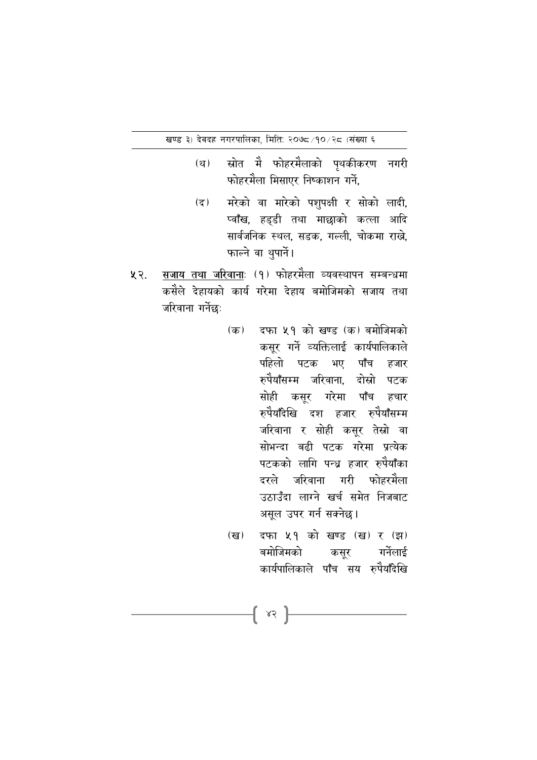- स्रोत मेे फोहरमैलाको पथकीकरण नगरी  $(\mathbf{r})$ फोहरमैला मिसाएर निष्काशन गर्ने.
- मरेको वा मारेको पशुपक्षी र सोको लादी,  $(5)$ प्वाँख, हडडी तथा माछाको कत्ला आदि सार्वजनिक स्थल, सडक, गल्ली, चोकमा राख्ने, फाल्ने वा थुपार्ने।
- सजाय तथा जरिवानाः (१) फोहरमैला व्यवस्थापन सम्बन्धमा  $43.$ कसैले देहायको कार्य गरेमा देहाय बमोजिमको सजाय तथा जरिवाना गर्नेछः
	- दफा ५१ को खण्ड (क) बमोजिमको (क) कसूर गर्ने व्यक्तिलाई कार्यपालिकाले पहिलो पटक भए पाँच हजार रुपैयाँसम्म जरिवाना. दोस्रो पटक सोही कसुर गरेमा पाँच हचार रुपैयाँदेखि दश हजार रुपैयाँसम्म जरिवाना र सोही कसुर तेस्रो वा सोभन्दा बढी पटक गरेमा प्रत्येक पटकको लागि पन्ध्र हजार रुपैयाँका दरले जरिवाना गरी फोहरमैला उठाउँदा लाग्ने खर्च समेत निजबाट असूल उपर गर्न सक्नेछ।
	- दफा ५१ को खण्ड (ख) र (झ) (ख) बमोजिमको कसुर गर्नेलाई कार्यपालिकाले पाँच सय रुपेयाँदेखि

 $\{ \; \mathsf{ss} \; \}$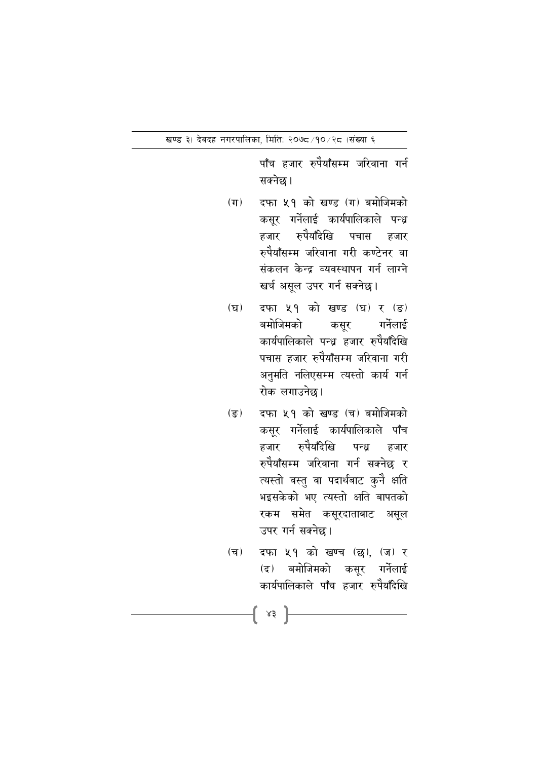पाँच हजार रुपैयाँसम्म जरिवाना गर्न सक्नेछ।

- $(\pi)$ दफा ५१ को खण्ड (ग) बमोजिमको कसुर गर्नेलाई कार्यपालिकाले पन्ध्र हजार रुपैयाँदेखि पचास हजार रुपैयाँसम्म जरिवाना गरी कण्टेनर वा संकलन केन्द्र व्यवस्थापन गर्न लाग्ने खर्च असूल उपर गर्न सक्नेछ।
- दफा ५१ को खण्ड (घ) र (ड)  $(\nabla)$ बमोजिमको गर्नेलाई कसूर कार्यपालिकाले पन्ध्र हजार रुपैयाँदेखि पचास हजार रुपैयाँसम्म जरिवाना गरी अनुमति नलिएसम्म त्यस्तो कार्य गर्न रोक लगाउनेछ।
- दफा ५१ को खण्ड (च) बमोजिमको  $(\overline{s})$ कसुर गर्नेलाई कार्यपालिकाले पाँच हजार रुपेयाँदेखि पन्ध हजार रुपैयाँसम्म जरिवाना गर्न सक्नेछ र त्यस्तो वस्तु वा पदार्थबाट कुनै क्षति भइसकेको भए त्यस्तो क्षति बापतको रकम समेत कसूरदाताबाट असूल उपर गर्न सक्नेछ।
- दफा ५१ को खण्च (छ), (ज) र  $(\overline{\mathbf{v}})$ (द) बमोजिमको कसुर गर्नेलाई कार्यपालिकाले पाँच हजार रुपैयाँदेखि

 $\{ \begin{array}{c} \ast \ast \end{array} \}$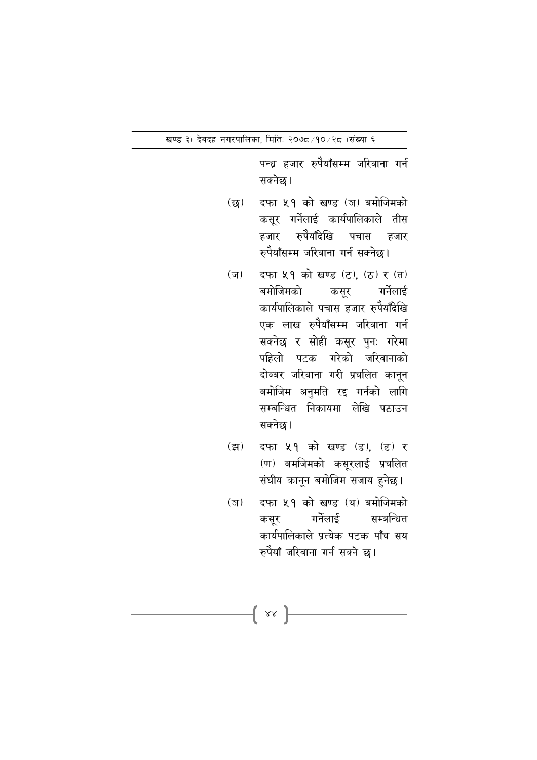पन्ध्र हजार रुपैयाँसम्म जरिवाना गर्न सक्नेछ।

- दफा ५१ को खण्ड (ञ) बमोजिमको  $(\overline{\mathbf{g}})$ कसुर गर्नेलाई कार्यपालिकाले तीस हजार रुपैयाँदेखि पचास हजार रुपैयाँसम्म जरिवाना गर्न सक्नेछ ।
- दफा ५१ को खण्ड (ट). (ठ) र (त)  $(\overline{v})$ गर्नेलाई बमोजिमको कसुर कार्यपालिकाले पचास हजार रुपैयाँदेखि एक लाख रुपैयाँसम्म जरिवाना गर्न सक्नेछ र सोही कसूर पुनः गरेमा पहिलो पटक गरेको जरिवानाको दोब्बर जरिवाना गरी प्रचलित कानुन बमोजिम अनुमति रद्द गर्नको लागि सम्बन्धित निकायमा लेखि पठाउन सक्नेछ।
- दफा ५१ को खण्ड (ड), (ढ) र  $(\overline{z}$ (ण) बमजिमको कसूरलाई प्रचलित संघीय कानून बमोजिम सजाय हुनेछ।
- दफा ५१ को खण्ड (थ) बमोजिमको  $(\overline{3})$ कसर गर्नेलाई सम्बन्धित कार्यपालिकाले प्रत्येक पटक पाँच सय रुपैयाँ जरिवाना गर्न सक्ने छ।

 $\{$  sx  $\}$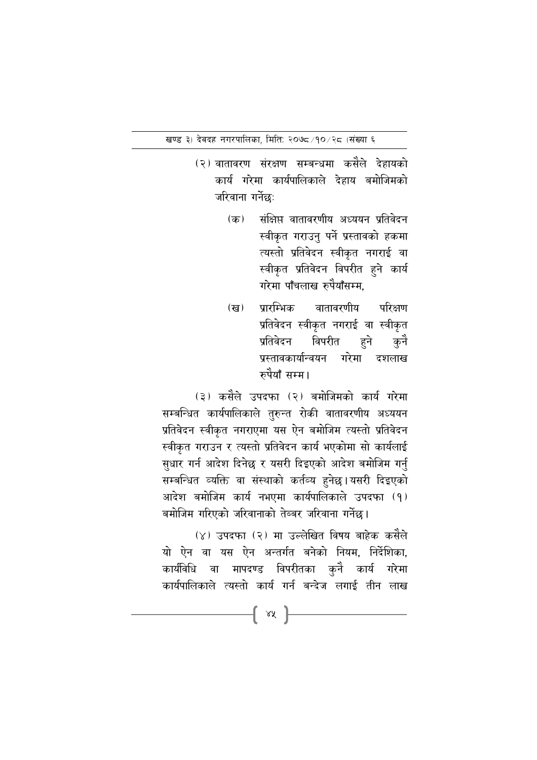- (२) वातावरण संरक्षण सम्बन्धमा कसैले देहायको कार्य गरेमा कार्यपालिकाले देहाय बमोजिमको जरिवाना गर्नेछः
	- संक्षिप्त वातावरणीय अध्ययन प्रतिवेदन  $(\overline{a})$ स्वीकृत गराउनु पर्ने प्रस्तावको हकमा त्यस्तो प्रतिवेदन स्वीकृत नगराई वा स्वीकृत प्रतिवेदन विपरीत हुने कार्य गरेमा पाँचलाख रुपैयाँसम्म.
	- प्रारम्भिक वातावरणीय (ख) परिक्षण प्रतिवेदन स्वीकृत नगराई वा स्वीकृत विपरीत प्रतिवेदन हने कनै प्रस्तावकार्यान्वयन गरेमा दशलाख रुपैयाँ सम्म।

(३) कसैले उपदफा (२) बमोजिमको कार्य गरेमा सम्बन्धित कार्यपालिकाले तुरुन्त रोकी वातावरणीय अध्ययन प्रतिवेदन स्वीकृत नगराएमा यस ऐन बमोजिम त्यस्तो प्रतिवेदन स्वीकृत गराउन र त्यस्तो प्रतिवेदन कार्य भएकोमा सो कार्यलाई सुधार गर्न आदेश दिनेछ र यसरी दिइएको आदेश बमोजिम गर्नु सम्बन्धित व्यक्ति वा संस्थाको कर्तव्य हनेछ।यसरी दिइएको आदेश बमोजिम कार्य नभएमा कार्यपालिकाले उपदफा (१) बमोजिम गरिएको जरिवानाको तेब्बर जरिवाना गर्नेछ।

(४) उपदफा (२) मा उल्लेखित विषय बाहेक कसैले यो ऐन वा यस ऐन अन्तर्गत बनेको नियम, निर्देशिका, कार्यविधि वा मापदण्ड विपरीतका कुनै कार्य गरेमा कार्यपालिकाले त्यस्तो कार्य गर्न बन्देज लगाई तीन लाख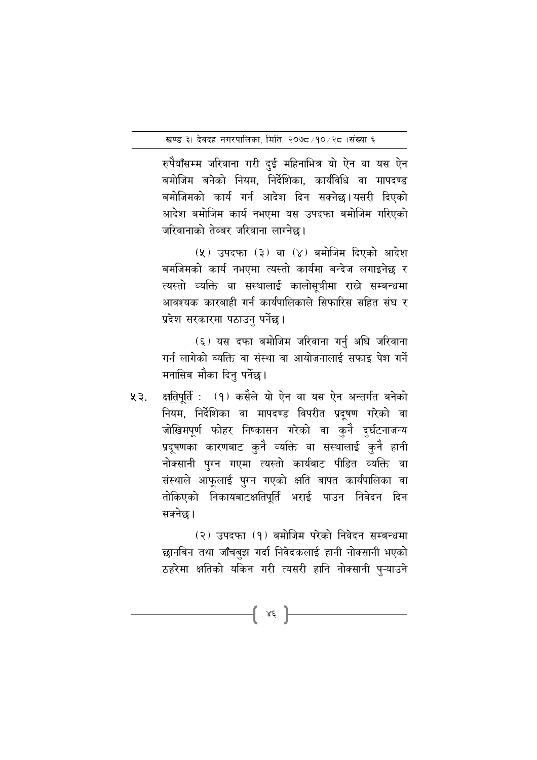रुपैयाँसम्म जरिवाना गरी दई महिनाभित्र यो ऐन वा यस ऐन बमोजिम बनेको नियम. निर्देशिका. कार्यविधि वा मापदण्ड बमोजिमको कार्य गर्न आदेश दिन सक्नेछ।यसरी दिएको आदेश बमोजिम कार्य नभएमा यस उपदफा बमोजिम गरिएको जरिवानाको तेब्बर जरिवाना लाग्नेछ।

(५) उपदफा (३) वा (४) बमोजिम दिएको आदेश बमजिमको कार्य नभएमा त्यस्तो कार्यमा बन्देज लगाइनेछ र त्यस्तो व्यक्ति वा संस्थालाई कालोसूचीमा राख्ने सम्बन्धमा आवश्यक कारबाही गर्न कार्यपालिकाले सिफारिस सहित संघ र प्रदेश सरकारमा पठाउनु पर्नेछ।

(६) यस दफा बमोजिम जरिवाना गर्नु अघि जरिवाना गर्न लागेको व्यक्ति वा संस्था वा आयोजनालाई सफाइ पेश गर्ने मनासिब मौका दिनु पर्नेछ।

**क्षतिपूर्ति** : (१) कसैले यो ऐन वा यस ऐन अन्तर्गत बनेको ५३. नियम, निर्देशिका वा मापदण्ड विपरीत प्रदुषण गरेको वा जोखिमपूर्ण फोहर निष्कासन गरेको वा कुनै दुर्घटनाजन्य प्रदूषणका कारणबाट कुनै व्यक्ति वा संस्थालाई कुनै हानी नोक्सानी पुग्न गएमा त्यस्तो कार्यबाट पीडित व्यक्ति वा संस्थाले आफूलाई पुग्न गएको क्षति बापत कार्यपालिका वा तोकिएको निकायबाटक्षतिपूर्ति भराई पाउन निवेदन दिन सक्नेछ।

> (२) उपदफा (१) बमोजिम परेको निवेदन सम्बन्धमा छानबिन तथा जाँचबुझ गर्दा निवेदकलाई हानी नोक्सानी भएको ठहरेमा क्षतिको यकिन गरी त्यसरी हानि नोक्सानी पुऱ्याउने

> > { xé }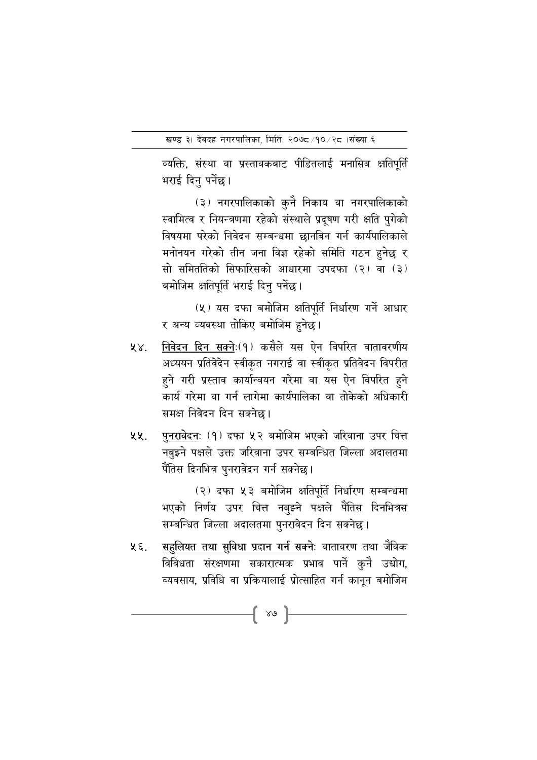व्यक्ति, संस्था वा प्रस्तावकबाट पीडितलाई मनासिब क्षतिपूर्ति भराई दिनु पर्नेछ।

(३) नगरपालिकाको कुनै निकाय वा नगरपालिकाको स्वामित्व र नियन्त्रणमा रहेको संस्थाले प्रदुषण गरी क्षति पुगेको विषयमा परेको निवेदन सम्बन्धमा छानबिन गर्न कार्यपालिकाले मनोनयन गरेको तीन जना विज्ञ रहेको समिति गठन हनेछ र सो समिततिको सिफारिसको आधारमा उपदफा (२) वा (३) बमोजिम क्षतिपूर्ति भराई दिनु पर्नेछ।

(५) यस दफा बमोजिम क्षतिपूर्ति निर्धारण गर्ने आधार र अन्य व्यवस्था तोकिए बमोजिम हुनेछ।

- निवेदन दिन सक्नेः(१) कसैले यस ऐन विपरित वातावरणीय  $88.$ अध्ययन प्रतिवेदेन स्वीकृत नगराई वा स्वीकृत प्रतिवेदन विपरीत हुने गरी प्रस्ताव कार्यान्वयन गरेमा वा यस ऐन विपरित हुने कार्य गरेमा वा गर्न लागेमा कार्यपालिका वा तोकेको अधिकारी समक्ष निवेदन दिन सक्नेछ ।
- पुनरावेदनः (१) दफा ५२ बमोजिम भएको जरिवाना उपर चित्त ५५. नबुझ्ने पक्षले उक्त जरिवाना उपर सम्बन्धित जिल्ला अदालतमा पैंतिस दिनभित्र पुनरावेदन गर्न सक्नेछ।

(२) दफा ५३ बमोजिम क्षतिपूर्ति निर्धारण सम्बन्धमा भएको निर्णय उपर चित्त नबुझ्ने पक्षले पैंतिस दिनभित्रस सम्बन्धित जिल्ला अदालतमा पुनरावेदन दिन सक्नेछ।

<u>सहलियत तथा सुविधा प्रदान गर्न सक्नेः</u> वातावरण तथा जैविक ५६. विविधता संरक्षणमा सकारात्मक प्रभाव पार्ने कुनै उद्योग, व्यवसाय. प्रविधि वा प्रक्रियालाई प्रोत्साहित गर्न कानन बमोजिम

 $\{ \begin{array}{c} \ast \circ \end{array} \}$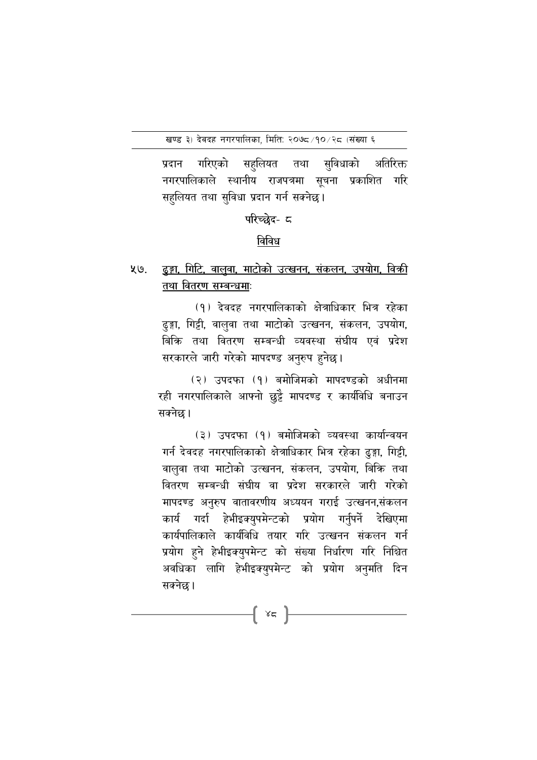गरिएको सहुलियत तथा सुविधाको अतिरिक्त प्रदान नगरपालिकाले स्थानीय राजपत्रमा सूचना प्रकाशित गरि सहुलियत तथा सुविधा प्रदान गर्न सक्नेछ।

परिच्छेद- ८

#### विविध

<u>ढङ्गा, गिटि, वालवा, माटोको उत्खनन, संकलन, उपयोग, विक्री</u> ५७. तथा वितरण सम्बन्धमाः

> (१) देवदह नगरपालिकाको क्षेत्राधिकार भित्र रहेका ढुङ्गा, गिट्टी, वालुवा तथा माटोको उत्खनन, संकलन, उपयोग, बिकि तथा वितरण सम्बन्धी व्यवस्था संघीय एवं प्रदेश सरकारले जारी गरेको मापदण्ड अनुरुप हुनेछ।

(२) उपदफा (१) बमोजिमको मापदण्डको अधीनमा रही नगरपालिकाले आफ्नो छुट्टै मापदण्ड र कार्यविधि बनाउन सक्नेछ।

(३) उपदफा (१) बमोजिमको व्यवस्था कार्यान्वयन गर्न देवदह नगरपालिकाको क्षेत्राधिकार भित्र रहेका ढुङ्गा, गिट्टी, वालवा तथा माटोको उत्खनन, संकलन, उपयोग, बिकि तथा वितरण सम्बन्धी संघीय वा प्रदेश सरकारले जारी गरेको मापदण्ड अनुरुप वातावरणीय अध्ययन गराई उत्खनन,संकलन कार्य गर्दा हेभीइक्युपमेन्टको प्रयोग गर्नुपर्ने देखिएमा कार्यपालिकाले कार्यविधि तयार गरि उत्खनन संकलन गर्न प्रयोग हुने हेभीइक्युपमेन्ट को संख्या निर्धारण गरि निश्चित अवधिका लागि हेभीइक्युपमेन्ट को प्रयोग अनुमति दिन सक्नेछ।

 $\{x \in F\}$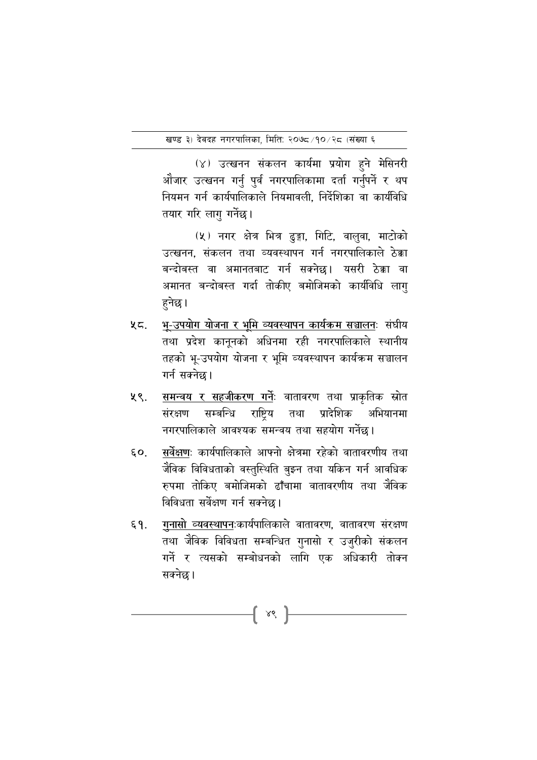(४) उत्खनन संकलन कार्यमा प्रयोग हुने मेसिनरी औजार उत्खनन गर्नु पुर्व नगरपालिकामा दर्ता गर्नुपर्ने र थप नियमन गर्न कार्यपालिकाले नियमावली. निर्देशिका वा कार्यविधि तयार गरि लागु गर्नेछ।

(५) नगर क्षेत्र भित्र ढुङ्गा, गिटि, वालुवा, माटोको उत्खनन. संकलन तथा व्यवस्थापन गर्न नगरपालिकाले ठेक्का बन्दोबस्त वा अमानतबाट गर्न सक्नेछ। यसरी ठेक्का वा अमानत बन्दोबस्त गर्दा तोकीए बमोजिमको कार्यविधि लागु हुनेछ।

- <u>भ-उपयोग योजना र भूमि व्यवस्थापन कार्यक्रम सञ्चालनः</u> संघीय  $25.$ तथा प्रदेश कानुनको अधिनमा रही नगरपालिकाले स्थानीय तहको भू-उपयोग योजना र भूमि व्यवस्थापन कार्यक्रम सञ्चालन गर्न सक्नेछ।
- समन्वय र सहजीकरण गर्नेः वातावरण तथा प्राकृतिक स्रोत ५९. संरक्षण सम्बन्धि राष्टिय तथा प्रादेशिक अभियानमा नगरपालिकाले आवश्यक समन्वय तथा सहयोग गर्नेछ।
- सर्वेक्षणः कार्यपालिकाले आफ्नो क्षेत्रमा रहेको वातावरणीय तथा  $50.$ जैविक विविधताको वस्तुस्थिति बुझ्न तथा यकिन गर्न आवधिक रुपमा तोकिए बमोजिमको ढाँचामा वातावरणीय तथा जैविक विविधता सर्वेक्षण गर्न सक्नेछ।
- गुनासो व्यवस्थापनःकार्यपालिकाले वातावरण, वातावरण संरक्षण  $\S$  9. तथा जैविक विविधता सम्बन्धित गुनासो र उजुरीको संकलन गर्ने र त्यसको सम्बोधनको लागि एक अधिकारी तोक्न सक्नेछ।

 $\{ \times \}$